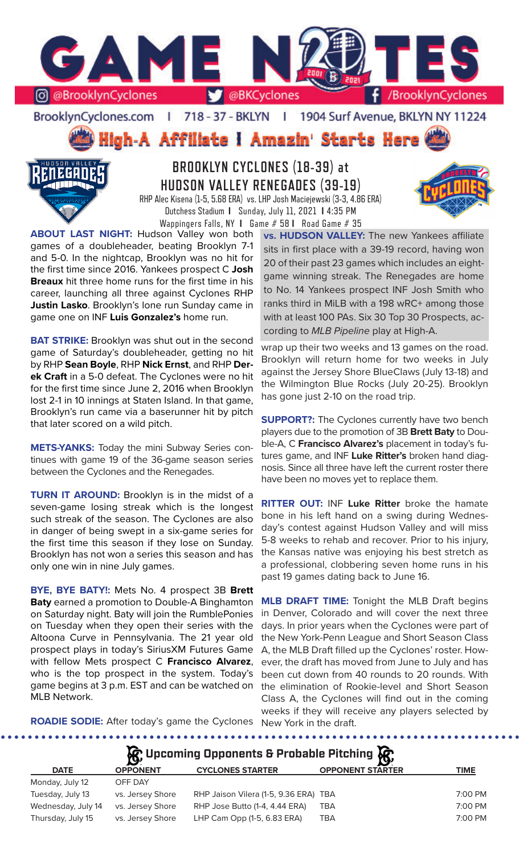

BrooklynCyclones.com | 718 - 37 - BKLYN - 11 1904 Surf Avenue, BKLYN NY 11224

ligh-A Affiliate i Amazin' Starts Here



# **BROOKLYN CYCLONES (18-39) at HUDSON VALLEY RENEGADES (39-19)** RHP Alec Kisena (1-5, 5.68 ERA) vs. LHP Josh Maciejewski (3-3, 4.86 ERA)

Dutchess Stadium **I** Sunday, July 11, 2021 **I** 4:35 PM Wappingers Falls, NY **I** Game # 58 **I** Road Game # 35

**ABOUT LAST NIGHT:** Hudson Valley won both games of a doubleheader, beating Brooklyn 7-1 and 5-0. In the nightcap, Brooklyn was no hit for the first time since 2016. Yankees prospect C **Josh Breaux** hit three home runs for the first time in his career, launching all three against Cyclones RHP **Justin Lasko**. Brooklyn's lone run Sunday came in game one on INF **Luis Gonzalez's** home run.

**BAT STRIKE:** Brooklyn was shut out in the second game of Saturday's doubleheader, getting no hit by RHP **Sean Boyle**, RHP **Nick Ernst**, and RHP **Derek Craft** in a 5-0 defeat. The Cyclones were no hit for the first time since June 2, 2016 when Brooklyn lost 2-1 in 10 innings at Staten Island. In that game, Brooklyn's run came via a baserunner hit by pitch that later scored on a wild pitch.

**METS-YANKS:** Today the mini Subway Series continues with game 19 of the 36-game season series between the Cyclones and the Renegades.

**TURN IT AROUND:** Brooklyn is in the midst of a seven-game losing streak which is the longest such streak of the season. The Cyclones are also in danger of being swept in a six-game series for the first time this season if they lose on Sunday. Brooklyn has not won a series this season and has only one win in nine July games.

**BYE, BYE BATY!:** Mets No. 4 prospect 3B **Brett Baty** earned a promotion to Double-A Binghamton on Saturday night. Baty will join the RumblePonies on Tuesday when they open their series with the Altoona Curve in Pennsylvania. The 21 year old prospect plays in today's SiriusXM Futures Game with fellow Mets prospect C **Francisco Alvarez**, who is the top prospect in the system. Today's game begins at 3 p.m. EST and can be watched on MLB Network.

**vs. HUDSON VALLEY:** The new Yankees affiliate sits in first place with a 39-19 record, having won 20 of their past 23 games which includes an eightgame winning streak. The Renegades are home to No. 14 Yankees prospect INF Josh Smith who ranks third in MiLB with a 198 wRC+ among those with at least 100 PAs. Six 30 Top 30 Prospects, according to *MLB Pipeline* play at High-A.

wrap up their two weeks and 13 games on the road. Brooklyn will return home for two weeks in July against the Jersey Shore BlueClaws (July 13-18) and the Wilmington Blue Rocks (July 20-25). Brooklyn has gone just 2-10 on the road trip.

**SUPPORT?:** The Cyclones currently have two bench players due to the promotion of 3B **Brett Baty** to Double-A, C **Francisco Alvarez's** placement in today's futures game, and INF **Luke Ritter's** broken hand diagnosis. Since all three have left the current roster there have been no moves yet to replace them.

**RITTER OUT:** INF **Luke Ritter** broke the hamate bone in his left hand on a swing during Wednesday's contest against Hudson Valley and will miss 5-8 weeks to rehab and recover. Prior to his injury, the Kansas native was enjoying his best stretch as a professional, clobbering seven home runs in his past 19 games dating back to June 16.

**MLB DRAFT TIME:** Tonight the MLB Draft begins in Denver, Colorado and will cover the next three days. In prior years when the Cyclones were part of the New York-Penn League and Short Season Class A, the MLB Draft filled up the Cyclones' roster. However, the draft has moved from June to July and has been cut down from 40 rounds to 20 rounds. With the elimination of Rookie-level and Short Season Class A, the Cyclones will find out in the coming weeks if they will receive any players selected by

**ROADIE SODIE:** After today's game the Cyclones New York in the draft.

|             |                 | $\mathcal{R}$ Upcoming Opponents & Probable Pitching $\mathcal{R}$ |                         |      |
|-------------|-----------------|--------------------------------------------------------------------|-------------------------|------|
| <b>DATE</b> | <b>OPPONENT</b> | <b>CYCLONES STARTER</b>                                            | <b>OPPONENT STARTER</b> | TIME |

| Monday, July 12    | OFF DAY          |                                       |     |         |
|--------------------|------------------|---------------------------------------|-----|---------|
| Tuesday, July 13   | vs. Jersey Shore | RHP Jaison Vilera (1-5, 9.36 ERA) TBA |     | 7:00 PM |
| Wednesday, July 14 | vs. Jersey Shore | RHP Jose Butto (1-4, 4.44 ERA)        | TBA | 7:00 PM |
| Thursday, July 15  | vs. Jersey Shore | LHP Cam Opp (1-5, 6.83 ERA)           | TBA | 7:00 PM |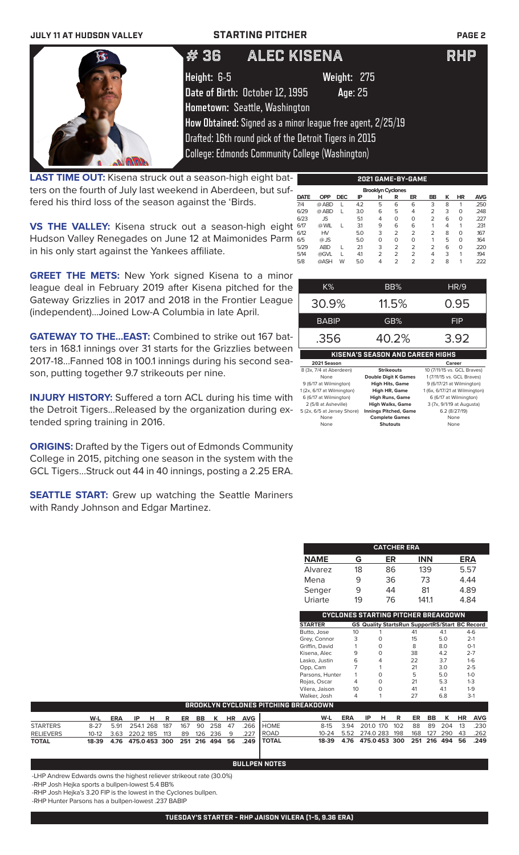| <b>JULY 11 AT HUDSON VALLEY</b> | <b>STARTING PITCHER</b>                                |                                                            | PAGE <sub>2</sub> |
|---------------------------------|--------------------------------------------------------|------------------------------------------------------------|-------------------|
|                                 | # 36                                                   | ALEC KISENA                                                | <b>RHP</b>        |
|                                 | Height: 6-5                                            | Weight: 275                                                |                   |
|                                 | Date of Birth: October 12, 1995                        | Age: 25                                                    |                   |
|                                 | Hometown: Seattle, Washington                          |                                                            |                   |
|                                 |                                                        | How Obtained: Signed as a minor league free agent, 2/25/19 |                   |
|                                 |                                                        | Drafted: 16th round pick of the Detroit Tigers in 2015     |                   |
|                                 | <b>College: Edmonds Community College (Washington)</b> |                                                            |                   |

**LAST TIME OUT:** Kisena struck out a season-high eight batters on the fourth of July last weekend in Aberdeen, but suffered his third loss of the season against the 'Birds.

**VS THE VALLEY:** Kisena struck out a season-high eight Hudson Valley Renegades on June 12 at Maimonides Parm in his only start against the Yankees affiliate.

**GREET THE METS:** New York signed Kisena to a minor league deal in February 2019 after Kisena pitched for the Gateway Grizzlies in 2017 and 2018 in the Frontier League (independent)...Joined Low-A Columbia in late April.

**GATEWAY TO THE...EAST:** Combined to strike out 167 batters in 168.1 innings over 31 starts for the Grizzlies between 2017-18...Fanned 108 in 100.1 innings during his second season, putting together 9.7 strikeouts per nine.

**INJURY HISTORY:** Suffered a torn ACL during his time with the Detroit Tigers...Released by the organization during extended spring training in 2016.

**ORIGINS:** Drafted by the Tigers out of Edmonds Community College in 2015, pitching one season in the system with the GCL Tigers...Struck out 44 in 40 innings, posting a 2.25 ERA.

**SEATTLE START:** Grew up watching the Seattle Mariners with Randy Johnson and Edgar Martinez.

|             |            |            |     |                          |                | 2021 GAME-BY-GAME |                |   |           |      |
|-------------|------------|------------|-----|--------------------------|----------------|-------------------|----------------|---|-----------|------|
|             |            |            |     | <b>Brooklyn Cyclones</b> |                |                   |                |   |           |      |
| <b>DATE</b> | <b>OPP</b> | <b>DEC</b> | IP  | н                        | R              | ER                | <b>BB</b>      | ĸ | <b>HR</b> | AVG  |
| 7/4         | @ ABD      |            | 4.2 | 5                        | 6              | 6                 | 3              | 8 | 1         | .250 |
| 6/29        | @ ABD      |            | 3.0 | 6                        | 5              | 4                 | $\overline{2}$ | 3 | $\Omega$  | .248 |
| 6/23        | <b>JS</b>  |            | 5.1 | 4                        | 0              | O                 | $\overline{2}$ | 6 | $\Omega$  | .227 |
| 6/17        | @ WIL      |            | 3.1 | 9                        | 6              | 6                 | 1              | 4 | 1         | .231 |
| 6/12        | HV         |            | 5.0 | 3                        | $\overline{2}$ | $\overline{2}$    | 2              | 8 | $\Omega$  | .167 |
| 6/5         | $@$ JS     |            | 5.0 | 0                        | 0              | $\Omega$          | 1              | 5 | $\Omega$  | .164 |
| 5/29        | <b>ABD</b> |            | 21  | 3                        | $\overline{2}$ | $\overline{2}$    | 2              | 6 | $\Omega$  | .220 |
| 5/14        | @GVL       |            | 4.1 | $\overline{2}$           | $\overline{2}$ | $\overline{2}$    | 4              | 3 | 1         | .194 |
| 5/8         | @ASH       | W          | 5.0 | 4                        | $\overline{2}$ | $\overline{2}$    | 2              | 8 | 1         | .222 |
|             |            |            |     |                          |                |                   |                |   |           |      |
|             |            |            |     |                          |                |                   |                |   |           |      |

| K%                                      | BB%   | HR/9       |  |  |  |  |  |
|-----------------------------------------|-------|------------|--|--|--|--|--|
| 30.9%                                   | 11.5% | 0.95       |  |  |  |  |  |
| <b>BABIP</b>                            | GB%   | <b>FIP</b> |  |  |  |  |  |
| 40.2%<br>3.92<br>.356                   |       |            |  |  |  |  |  |
| <b>KISENA'S SEASON AND CAREER HIGHS</b> |       |            |  |  |  |  |  |

| 2021 Season                 |                              | Career                        |
|-----------------------------|------------------------------|-------------------------------|
| 8 (3x, 7/4 at Aberdeen)     | <b>Strikeouts</b>            | 10 (7/11/15 vs. GCL Braves)   |
| None                        | <b>Double Digit K Games</b>  | 1 (7/11/15 vs. GCL Braves)    |
| 9 (6/17 at Wilmington)      | <b>High Hits, Game</b>       | 9 (6/17/21 at Wilmington)     |
| 1 (2x, 6/17 at Wilmington)  | High HR, Game                | 1 (6x, 6/17/21 at Wilmington) |
| 6 (6/17 at Wilmington)      | <b>High Runs, Game</b>       | 6 (6/17 at Wilmington)        |
| 2 (5/8 at Asheville)        | <b>High Walks, Game</b>      | 3 (7x, 9/1/19 at Augusta)     |
| 5 (2x, 6/5 at Jersey Shore) | <b>Innings Pitched, Game</b> | 6.2 (8/27/19)                 |
| None                        | <b>Complete Games</b>        | None                          |
| None                        | <b>Shutouts</b>              | None                          |

| <b>CATCHER ERA</b> |    |    |            |            |  |  |  |
|--------------------|----|----|------------|------------|--|--|--|
| <b>NAME</b>        | G  | ER | <b>INN</b> | <b>ERA</b> |  |  |  |
| Alvarez            | 18 | 86 | 139        | 5.57       |  |  |  |
| Mena               | 9  | 36 | 73         | 4.44       |  |  |  |
| Senger             | 9  | 44 | 81         | 4.89       |  |  |  |
| Uriarte            | 19 | 76 | 1411       | 4.84       |  |  |  |

| CYCLONES STARTING PITCHER BREAKDOWN |    |   |                                                       |     |         |  |  |
|-------------------------------------|----|---|-------------------------------------------------------|-----|---------|--|--|
| <b>STARTER</b>                      |    |   | <b>GS Quality StartsRun SupportRS/Start BC Record</b> |     |         |  |  |
| Butto, Jose                         | 10 |   | 41                                                    | 4.1 | $4-6$   |  |  |
| Grey, Connor                        | 3  |   | 15                                                    | 5.0 | $2 - 1$ |  |  |
| Griffin, David                      |    | O | 8                                                     | 8.0 | $O-1$   |  |  |
| Kisena, Alec                        | 9  | O | 38                                                    | 4.2 | $2 - 7$ |  |  |
| Lasko, Justin                       | 6  | 4 | 22                                                    | 3.7 | $1-6$   |  |  |
| Opp, Cam                            |    |   | 21                                                    | 3.0 | $2 - 5$ |  |  |
| Parsons, Hunter                     |    | O | 5                                                     | 5.0 | $1 - 0$ |  |  |
| Rojas, Oscar                        | 4  | O | 21                                                    | 5.3 | $1 - 3$ |  |  |
| Vilera, Jaison                      | 10 | O | 41                                                    | 4.1 | $1 - 9$ |  |  |
| Walker, Josh                        | 4  |   | 27                                                    | 6.8 | $3-1$   |  |  |
| 3 C A Ƙ N NI NI                     |    |   |                                                       |     |         |  |  |

|                             | BROOKLYN CYCLONES PITCHING BREAKDOWN |  |  |  |  |  |  |  |  |                               |                                                              |                                              |                               |  |  |  |  |
|-----------------------------|--------------------------------------|--|--|--|--|--|--|--|--|-------------------------------|--------------------------------------------------------------|----------------------------------------------|-------------------------------|--|--|--|--|
| and the control of the con- |                                      |  |  |  |  |  |  |  |  | W-L ERA IP H R ER BB K HR AVG |                                                              |                                              | W-L ERA IP H R ER BB K HR AVG |  |  |  |  |
| <b>STARTERS</b>             |                                      |  |  |  |  |  |  |  |  |                               | 8-27 5.91 254.1 268 187 167 90 258 47 .266 HOME              | 8-15 3.94 201.0 170 102 88 89 204 13 .230    |                               |  |  |  |  |
| <b>RELIEVERS</b>            |                                      |  |  |  |  |  |  |  |  |                               | 10-12  3.63  220.2  185  113  89  126  236  9  .227  ROAD    | 10-24 5.52 274.0 283 198 168 127 290 43 .262 |                               |  |  |  |  |
| <b>TOTAL</b>                |                                      |  |  |  |  |  |  |  |  |                               | 18-39  4.76  475.0453  300  251  216  494  56  .249    TOTAL | 18-39 4.76 475.0453 300 251 216 494 56 .249  |                               |  |  |  |  |

**BULLPEN NOTES**

-LHP Andrew Edwards owns the highest reliever strikeout rate (30.0%)

-RHP Josh Hejka sports a bullpen-lowest 5.4 BB%

-RHP Josh Hejka's 3.20 FIP is the lowest in the Cyclones bullpen.

-RHP Hunter Parsons has a bullpen-lowest .237 BABIP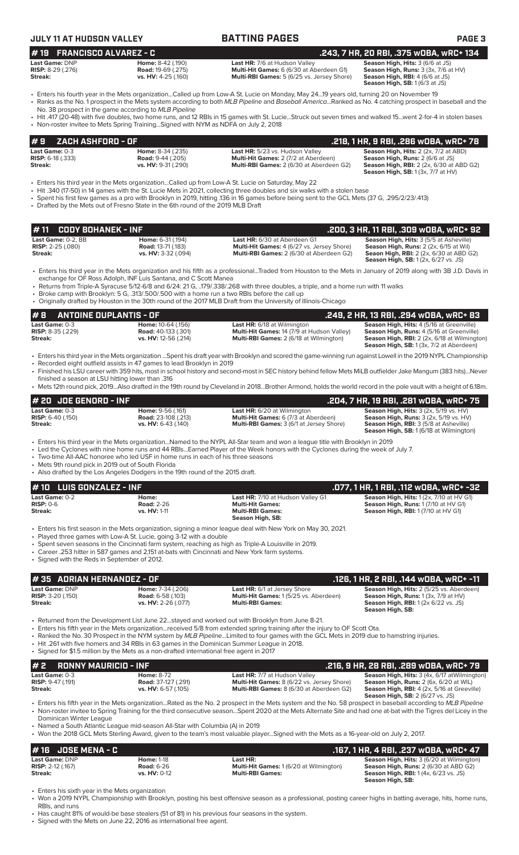| <b>JULY 11 AT HUDSON VALLEY</b>                         |                                                                                                                                               | <b>BATTING PAGES</b>                                                                                                                                                                                                                                                                                                                                                                                                                                                 | <b>PAGE 3</b>                                                                                                                       |  |  |  |  |
|---------------------------------------------------------|-----------------------------------------------------------------------------------------------------------------------------------------------|----------------------------------------------------------------------------------------------------------------------------------------------------------------------------------------------------------------------------------------------------------------------------------------------------------------------------------------------------------------------------------------------------------------------------------------------------------------------|-------------------------------------------------------------------------------------------------------------------------------------|--|--|--|--|
| #19 FRANCISCO ALVAREZ - C                               |                                                                                                                                               |                                                                                                                                                                                                                                                                                                                                                                                                                                                                      | .243, 7 HR, 20 RBI, .375 WOBA, WRC+ 134                                                                                             |  |  |  |  |
| Last Game: DNP<br><b>RISP:</b> $8-29$ (.276)<br>Streak: | Home: 8-42 (.190)<br><b>Road: 19-69 (.275)</b><br>vs. HV: 4-25 (.160)                                                                         | Last HR: 7/6 at Hudson Valley<br>Season High, Hits: 3 (6/6 at JS)<br>Multi-Hit Games: 6 (6/30 at Aberdeen G1)<br>Season High, Runs: 3 (3x, 7/6 at HV)<br>Multi-RBI Games: 5 (6/25 vs. Jersey Shore)<br>Season High, RBI: 4 (6/6 at JS)<br>Season High, SB: 1 (6/3 at JS)                                                                                                                                                                                             |                                                                                                                                     |  |  |  |  |
|                                                         | No. 38 prospect in the game according to MLB Pipeline<br>• Non-roster invitee to Mets Spring Training Signed with NYM as NDFA on July 2, 2018 | • Enters his fourth year in the Mets organizationCalled up from Low-A St. Lucie on Monday, May 2419 years old, turning 20 on November 19<br>• Ranks as the No. 1 prospect in the Mets system according to both MLB Pipeline and Baseball AmericaRanked as No. 4 catching prospect in baseball and the<br>• Hit .417 (20-48) with five doubles, two home runs, and 12 RBIs in 15 games with St. LucieStruck out seven times and walked 15went 2-for-4 in stolen bases |                                                                                                                                     |  |  |  |  |
| #9<br><b>ZACH ASHFORD - OF</b>                          |                                                                                                                                               |                                                                                                                                                                                                                                                                                                                                                                                                                                                                      | .218, 1 HR, 9 RBI, .286 wOBA, wRC+ 78                                                                                               |  |  |  |  |
| Last Game: 0-3<br><b>RISP:</b> $6-18$ (.333)<br>Streak: | Home: 8-34 (.235)<br><b>Road: 9-44 (.205)</b><br>vs. HV: 9-31 (.290)                                                                          | Last HR: 5/23 vs. Hudson Valley<br><b>Multi-Hit Games: 2 (7/2 at Aberdeen)</b><br>Multi-RBI Games: 2 (6/30 at Aberdeen G2)                                                                                                                                                                                                                                                                                                                                           | <b>Season High, Hits: 2 (2x, 7/2 at ABD)</b><br>Season High, Runs: 2 (6/6 at JS)<br><b>Season High, RBI:</b> 2 (2x, 6/30 at ABD G2) |  |  |  |  |

• Enters his third year in the Mets organization...Called up from Low-A St. Lucie on Saturday, May 22

- Hit .340 (17-50) in 14 games with the St. Lucie Mets in 2021, collecting three doubles and six walks with a stolen base
- Spent his first few games as a pro with Brooklyn in 2019, hitting .136 in 16 games before being sent to the GCL Mets (37 G, .295/2/23/.413)
- Drafted by the Mets out of Fresno State in the 6th round of the 2019 MLB Draft

|                           |                           |                                                   | .200, 3 HR, 11 RBI, .309 wOBA, wRC+ 92         |
|---------------------------|---------------------------|---------------------------------------------------|------------------------------------------------|
| <b>Last Game:</b> 0-2. BB | <b>Home:</b> 6-31 (.194)  | <b>Last HR:</b> 6/30 at Aberdeen G1               | <b>Season High, Hits: 3 (5/5 at Asheville)</b> |
| <b>RISP:</b> 2-25 (.080)  | <b>Road: 13-71 (.183)</b> | <b>Multi-Hit Games:</b> 4 (6/27 vs. Jersey Shore) | <b>Season High, Runs:</b> 2 (2x, 6/15 at Wil)  |
| Streak:                   | vs. HV: 3-32 (.094)       | <b>Multi-RBI Games: 2 (6/30 at Aberdeen G2)</b>   | <b>Seaon High, RBI:</b> 2 (2x, 6/30 at ABD G2) |
|                           |                           |                                                   | <b>Season High, SB:</b> 1(2x, 6/27 vs. JS)     |

• Enters his third year in the Mets organization and his fifth as a professional...Traded from Houston to the Mets in January of 2019 along with 3B J.D. Davis in exchange for OF Ross Adolph, INF Luis Santana, and C Scott Manea

• Returns from Triple-A Syracuse 5/12-6/8 and 6/24: 21 G, ..179/.338/.268 with three doubles, a triple, and a home run with 11 walks

• Broke camp with Brooklyn: 5 G, .313/.500/.500 with a home run a two RBIs before the call up

• Originally drafted by Houston in the 30th round of the 2017 MLB Draft from the University of Illinois-Chicago

### **# 8 ANTOINE DUPLANTIS - OF .249, 2 HR, 13 RBI, .294 wOBA, wRC+ 83**

| ITU ANIUMEDUFEANIIU UI     |                             |                                                   |                                                                                                        |
|----------------------------|-----------------------------|---------------------------------------------------|--------------------------------------------------------------------------------------------------------|
| <b>Last Game: 0-3</b>      | Home: 10-64 (.156)          | <b>Last HR:</b> 6/18 at Wilmington                | <b>Season High, Hits: 4 (5/16 at Greenville)</b>                                                       |
| <b>RISP:</b> $8-35$ (.229) | <b>Road:</b> 40-133 (.301)  | <b>Multi-Hit Games: 14 (7/9 at Hudson Valley)</b> | <b>Season High, Runs:</b> 4 (5/16 at Greenville)                                                       |
| Streak:                    | <b>vs. HV:</b> 12-56 (.214) | <b>Multi-RBI Games:</b> 2 (6/18 at Wilmington)    | <b>Season High, RBI:</b> 2 (2x, 6/18 at Wilmington)<br><b>Season High, SB:</b> 1 (3x, 7/2 at Aberdeen) |

- Enters his third year in the Mets organization ...Spent his draft year with Brooklyn and scored the game-winning run against Lowell in the 2019 NYPL Championship • Recorded eight outfield assists in 47 games to lead Brooklyn in 2019 • Finished his LSU career with 359 hits, most in school history and second-most in SEC history behind fellow Mets MiLB outfielder Jake Mangum (383 hits)...Never
- finished a season at LSU hitting lower than .316
- Mets 12th round pick, 2019...Also drafted in the 19th round by Cleveland in 2018...Brother Armond, holds the world record in the pole vault with a height of 6.18m.

| $#$ 20 JDE GENORD - INF                                      |                                                                          |                                                                                                                                      | .204. 7 HR. 19 RBI. .281 wOBA. wRC+ 75                                                                                                                                                            |
|--------------------------------------------------------------|--------------------------------------------------------------------------|--------------------------------------------------------------------------------------------------------------------------------------|---------------------------------------------------------------------------------------------------------------------------------------------------------------------------------------------------|
| <b>Last Game:</b> 0-3<br><b>RISP:</b> 6-40 (.150)<br>Streak: | Home: 9-56 (.161)<br><b>Road:</b> 23-108 (.213)<br>$vs. HV: 6-43$ (.140) | <b>Last HR:</b> 6/20 at Wilmington<br><b>Multi-Hit Games:</b> 6 (7/3 at Aberdeen)<br><b>Multi-RBI Games:</b> 3 (6/1 at Jersey Shore) | <b>Season High, Hits: 3 (2x, 5/19 vs. HV)</b><br><b>Season High, Runs: 3 (2x, 5/19 vs. HV)</b><br><b>Season High, RBI:</b> 3 (5/8 at Asheville)<br><b>Season High, SB: 1 (6/18 at Wilmington)</b> |
|                                                              |                                                                          |                                                                                                                                      |                                                                                                                                                                                                   |

• Enters his third year in the Mets organization...Named to the NYPL All-Star team and won a league title with Brooklyn in 2019

• Led the Cyclones with nine home runs and 44 RBIs...Earned Player of the Week honors with the Cyclones during the week of July 7.

- Two-time All-AAC honoree who led USF in home runs in each of his three seasons
- Mets 9th round pick in 2019 out of South Florida
- Also drafted by the Los Angeles Dodgers in the 19th round of the 2015 draft.

| $# 10$ LUIS GONZALEZ - INF               |                                                                     |                                                                                                                    | .077, 1 HR, 1 RBI, .112 wOBA, wRC+ -32                                                                                          |
|------------------------------------------|---------------------------------------------------------------------|--------------------------------------------------------------------------------------------------------------------|---------------------------------------------------------------------------------------------------------------------------------|
| Last Game: 0-2<br>$RISP: 0-6$<br>Streak: | Home:<br><b>Road: 2-26</b><br><b>vs. HV: 1-11</b>                   | <b>Last HR: 7/10 at Hudson Valley G1</b><br><b>Multi-Hit Games:</b><br><b>Multi-RBI Games:</b><br>Season High, SB: | <b>Season High, Hits:</b> $1(2x, 7/10$ at HV G1)<br>Season High, Runs: 1 (7/10 at HV G1)<br>Season High, RBI: 1 (7/10 at HV G1) |
|                                          | • Played three games with Low-A St. Lucie, going 3-12 with a double | • Enters his first season in the Mets organization, signing a minor league deal with New York on May 30, 2021.     |                                                                                                                                 |

• Spent seven seasons in the Cincinnati farm system, reaching as high as Triple-A Louisville in 2019.

• Career .253 hitter in 587 games and 2,151 at-bats with Cincinnati and New York farm systems.

• Signed with the Reds in September of 2012.

# **Last Game:** DNP **Home:** 7-34 (.206) **Last HR:** 6/1 at Jersey Shore **Season High, Hits:** 2 (5/25 vs. Aberdeen) **# 35 ADRIAN HERNANDEZ - OF**<br> **11- Last Game: DNP Mome: 7-34** (.206) **.126, 1 HR, 2 RBI, .144 wOBA, wRC+ -11**<br> **126, 1 HR, 2 RBI, .144 wOBA, wRC+ -11**<br> **126, 1 HR, 2 RBI, .144 wOBA, wRC+ -11**<br> **126, 1 HR, 2 RBI, .144 wOBA,**

# **RISP:** 3-20 (.150) **Road:** 6-58 (.103) **Multi-Hit Games:** 1 (5/25 vs. Aberdeen) **Season High, Runs:** 1 (3x, 7/9 at HV) **Streak: vs. HV:** 2-26 (.077) **Multi-RBI Games: Season High, RBI:** 1 (2x 6/22 vs. JS)

**Season High, SB:** 

**Season High, SB:** 1 (3x, 7/7 at HV)

• Returned from the Development List June 22...stayed and worked out with Brooklyn from June 8-21.

- Enters his fifth year in the Mets organization...received 5/8 from extended spring training after the injury to OF Scott Ota.
- Ranked the No. 30 Prospect in the NYM system by *MLB Pipeline...*Limited to four games with the GCL Mets in 2019 due to hamstring injuries.
- Hit .261 with five homers and 34 RBIs in 63 games in the Dominican Summer League in 2018. • Signed for \$1.5 million by the Mets as a non-drafted international free agent in 2017

| $# 2$ RONNY MAURICIO - INF |                            |                                                                                                                                                                   | .216, 9 HR, 28 RBI, .289 wOBA, wRC+ 79        |  |  |  |  |  |  |
|----------------------------|----------------------------|-------------------------------------------------------------------------------------------------------------------------------------------------------------------|-----------------------------------------------|--|--|--|--|--|--|
| <b>Last Game:</b> 0-3      | <b>Home: 8-72</b>          | <b>Last HR: 7/7 at Hudson Valley</b>                                                                                                                              | Season High, Hits: 3 (4x, 6/17 at Wilmington) |  |  |  |  |  |  |
| <b>RISP:</b> 9-47 (.191)   | <b>Road: 37-127 (.291)</b> | Multi-Hit Games: 8 (6/22 vs. Jersey Shore)                                                                                                                        | Season High, Runs: 2 (6x, 6/20 at WIL)        |  |  |  |  |  |  |
| Streak:                    | vs. HV: 6-57 (.105)        | Multi-RBI Games: 8 (6/30 at Aberdeen G2)                                                                                                                          | Season High, RBI: 4 (2x, 5/16 at Greeville)   |  |  |  |  |  |  |
|                            |                            |                                                                                                                                                                   | <b>Season High, SB: 2 (6/27 vs. JS)</b>       |  |  |  |  |  |  |
|                            |                            | • Enters his fifth year in the Mets organizationRated as the No. 2 prospect in the Mets system and the No. 58 prospect in baseball according to MLB Pipeline      |                                               |  |  |  |  |  |  |
| Dominican Winter League    |                            | • Non-roster invitee to Spring Training for the third consecutive seasonSpent 2020 at the Mets Alternate Site and had one at-bat with the Tigres del Licey in the |                                               |  |  |  |  |  |  |

• Named a South Atlantic League mid-season All-Star with Columbia (A) in 2019

• Won the 2018 GCL Mets Sterling Award, given to the team's most valuable player...Signed with the Mets as a 16-year-old on July 2, 2017.

| $# 16$ JOSE MENA - C                                                                                                                                                                                       | .167, 1 HR, 4 RBI, .237 wOBA, wRC+ 47                                                                                                                               |
|------------------------------------------------------------------------------------------------------------------------------------------------------------------------------------------------------------|---------------------------------------------------------------------------------------------------------------------------------------------------------------------|
| Last Game: DNP<br><b>Home: 1-18</b><br>Last HR:<br><b>Multi-Hit Games: 1 (6/20 at Wilmington)</b><br><b>RISP:</b> $2-12$ (.167)<br><b>Road: 6-26</b><br>Streak:<br>vs. HV: 0-12<br><b>Multi-RBI Games:</b> | <b>Season High, Hits: 3 (6/20 at Wilmington)</b><br><b>Season High, Runs: 2 (6/30 at ABD G2)</b><br><b>Season High, RBI:</b> 1(4x, 6/23 vs. JS)<br>Season High, SB: |

• Enters his sixth year in the Mets organization

• Won a 2019 NYPL Championship with Brooklyn, posting his best offensive season as a professional, posting career highs in batting average, hits, home runs, RBIs, and runs

• Has caught 81% of would-be base stealers (51 of 81) in his previous four seasons in the system. Signed with the Mets on June 22, 2016 as international free agent.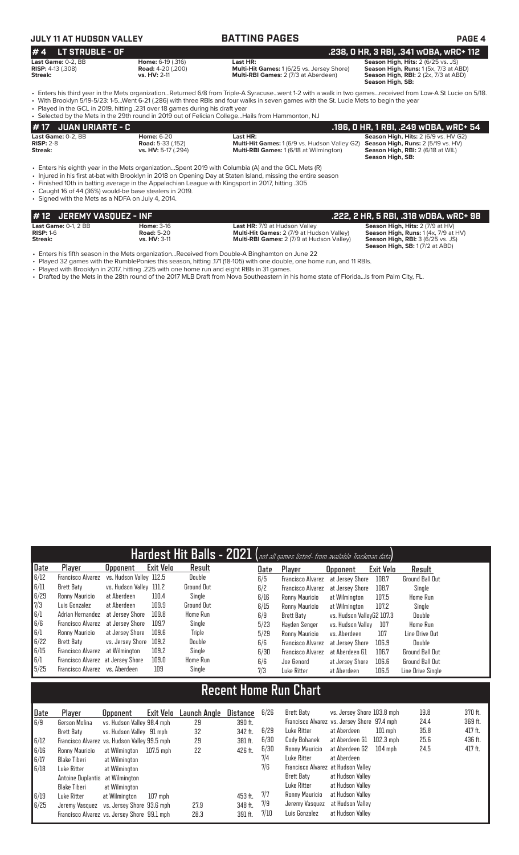## **JULY 11 AT HUDSON VALLEY BATTING PAGES PAGE 4**

**# 4 LT STRUBLE - OF**<br> **.238, 0 HR, 3 RBI, .341 WOBA, WRC+ 112**<br> **.238, 0 HR, 3 RBI, .341 WOBA, WRC+ 112**<br> **RISP:** 4-13 (.308)<br> **Road:** 4-20 (.200)<br> **Streak: .238, 0 HR, 3 RBI, .341 WOBA, WRC+ 112**<br> **Season High, Runs: Last Game:** 0-2, BB **Home:** 6-19 (.316) **Last HR: Season High, Hits:** 2 (6/25 vs. JS) **RISP:** 4-13 (.308) **Road:** 4-20 (.200) **Multi-Hit Games:** 1 (6/25 vs. Jersey Shore) **Season High, Runs:** 1 (5x, 7/3 at ABD) **Streak: vs. HV:** 2-11 **Multi-RBI Games:** 2 (7/3 at Aberdeen) **Season High, RBI:** 2 (2x, 7/3 at ABD) **Season High, SB:** 

- Enters his third year in the Mets organization...Returned 6/8 from Triple-A Syracuse...went 1-2 with a walk in two games...received from Low-A St Lucie on 5/18. • With Brooklyn 5/19-5/23: 1-5...Went 6-21 (.286) with three RBIs and four walks in seven games with the St. Lucie Mets to begin the year
- Played in the GCL in 2019, hitting .231 over 18 games during his draft year • Selected by the Mets in the 29th round in 2019 out of Felician College...Hails from Hammonton, NJ

|             | # 17 JUAN URIARTE - C |                                                                                                      | . .196, O HR, 1 RBI, .249 wOBA, wRC+ 54'             |                                             |  |  |  |  |  |
|-------------|-----------------------|------------------------------------------------------------------------------------------------------|------------------------------------------------------|---------------------------------------------|--|--|--|--|--|
|             | Last Game: 0-2. BB    | <b>Home: 6-20</b>                                                                                    | Last HR:                                             | <b>Season High, Hits: 2 (6/9 vs. HV G2)</b> |  |  |  |  |  |
| $RISP: 2-8$ |                       | <b>Road:</b> 5-33 (.152)                                                                             | <b>Multi-Hit Games: 1 (6/9 vs. Hudson Valley G2)</b> | <b>Season High, Runs: 2 (5/19 vs. HV)</b>   |  |  |  |  |  |
| Streak:     |                       | vs. HV: 5-17 (.294)                                                                                  | <b>Multi-RBI Games: 1 (6/18 at Wilmington)</b>       | Season High, RBI: 2 (6/18 at WIL)           |  |  |  |  |  |
|             |                       |                                                                                                      |                                                      | Season High, SB:                            |  |  |  |  |  |
|             |                       | • Enters his eighth year in the Mets organization. Spent 2019 with Columbia (A) and the GCL Mets (R) |                                                      |                                             |  |  |  |  |  |

- Enters his eighth year in the Mets organization...Spent 2019 with Columbia (A) and the GCL Mets (R)
- Injured in his first at-bat with Brooklyn in 2018 on Opening Day at Staten Island, missing the entire season
- Finished 10th in batting average in the Appalachian League with Kingsport in 2017, hitting .305 • Caught 16 of 44 (36%) would-be base stealers in 2019.
- Signed with the Mets as a NDFA on July 4, 2014.

| #12 JEREMY VASOUEZ - INF  |                     |                                                  | .222, 2 HR, 5 RBI, .318 wOBA, wRC+ 98             |
|---------------------------|---------------------|--------------------------------------------------|---------------------------------------------------|
| Last Game: $0-1$ . $2$ BB | <b>Home: 3-16</b>   | <b>Last HR: 7/9 at Hudson Valley</b>             | <b>Season High, Hits: 2 (7/9 at HV)</b>           |
| $RISP: 1-6$               | <b>Road:</b> 5-20   | <b>Multi-Hit Games: 2 (7/9 at Hudson Valley)</b> | <b>Season High, Runs:</b> $1(4x, 7/9$ at $HV$ )   |
| Streak:                   | <b>vs. HV: 3-11</b> | <b>Multi-RBI Games: 2 (7/9 at Hudson Valley)</b> | <b>Season High, RBI:</b> $3(6/25 \text{ vs. JS})$ |
|                           |                     |                                                  | <b>Season High, SB: 1 (7/2 at ABD)</b>            |

- Enters his fifth season in the Mets organization...Received from Double-A Binghamton on June 22<br>• Played 32 games with the RumblePonies this season, hitting 171 (18-105) with one double, one hon
- Played 32 games with the RumblePonies this season, hitting .171 (18-105) with one double, one home run, and 11 RBIs.
- Played with Brooklyn in 2017, hitting .225 with one home run and eight RBIs in 31 games. • Drafted by the Mets in the 28th round of the 2017 MLB Draft from Nova Southeastern in his home state of Florida...Is from Palm City, FL.

|                              |                                   |                         |                  | Hardest Hit Balls - 2021 (not all games listed- from available Trackman data) |          |      |                          |                            |                  |                        |  |
|------------------------------|-----------------------------------|-------------------------|------------------|-------------------------------------------------------------------------------|----------|------|--------------------------|----------------------------|------------------|------------------------|--|
| Date                         | Player                            | <b>Upponent</b>         | <b>Exit Velo</b> | Result                                                                        |          | Date | Player                   | Upponent                   | <b>Exit Velo</b> | Result                 |  |
| 6/12                         | <b>Francisco Alvarez</b>          | vs. Hudson Valley 112.5 |                  | Double                                                                        |          | 6/5  | <b>Francisco Alvarez</b> | at Jersey Shore            | 108.7            | <b>Ground Ball Out</b> |  |
| 6/11                         | <b>Brett Baty</b>                 | vs. Hudson Valley 111.2 |                  | <b>Ground Out</b>                                                             |          | 6/2  | <b>Francisco Alvarez</b> | at Jersey Shore            | 108.7            | Single                 |  |
| 6/29                         | Ronny Mauricio                    | at Aberdeen             | 110.4            | Single                                                                        |          | 6/16 | Ronny Mauricio           | at Wilmington              | 107.5            | Home Run               |  |
| 7/3                          | Luis Gonzalez                     | at Aberdeen             | 109.9            | <b>Ground Out</b>                                                             |          | 6/15 | Ronny Mauricio           | at Wilmington              | 107.2            | Single                 |  |
| 6/1                          | Adrian Hernandez                  | at Jersey Shore         | 109.8            | Home Run                                                                      |          | 6/9  | Brett Baty               | vs. Hudson ValleyG2 107.3  |                  | Double                 |  |
| 6/6                          | <b>Francisco Alvarez</b>          | at Jersev Shore         | 109.7            | Single                                                                        |          | 5/23 | Hayden Senger            | vs. Hudson Valley          | 107              | <b>Home Run</b>        |  |
| 6/1                          | Ronny Mauricio                    | at Jersey Shore         | 109.6            | <b>Triple</b>                                                                 |          | 5/29 | Ronny Mauricio           | vs. Aberdeen               | 107              | Line Drive Out         |  |
| 6/22                         | Brett Baty                        | vs. Jersey Shore        | 109.2            | Double                                                                        |          | 6/6  | <b>Francisco Alvarez</b> | at Jersey Shore            | 106.9            | Double                 |  |
| 6/15                         | <b>Francisco Alvarez</b>          | at Wilmington           | 109.2            | Single                                                                        |          | 6/30 | <b>Francisco Alvarez</b> | at Aberdeen G1             | 106.7            | Ground Ball Out        |  |
| 6/1                          | Francisco Alvarez at Jersey Shore |                         | 109.0            | Home Run                                                                      |          | 6/6  | Joe Genord               | at Jersey Shore            | 106.6            | <b>Ground Ball Out</b> |  |
| 5/25                         | Francisco Alvarez                 | vs. Aberdeen            | 109              | Single                                                                        |          | 7/3  | Luke Ritter              | at Aberdeen                | 106.5            | Line Drive Single      |  |
| <b>Recent Home Run Chart</b> |                                   |                         |                  |                                                                               |          |      |                          |                            |                  |                        |  |
| Date                         | <b>Player</b>                     | Upponent                | Exit Velo        | <b>Launch Angle</b>                                                           | Distance | 6/26 | Brett Baty               | vs. Jersey Shore 103.8 mph |                  | 19.8<br>$-1$           |  |

| I vate | Player                                       | upponent                                    | EXIT VEIO | Launch Andle | <b>LISTANCE</b> | D / CD | brett batv                                  | VS. Jersey Shore 103.8 Mpn   |         | 13.0 | 370 II. |
|--------|----------------------------------------------|---------------------------------------------|-----------|--------------|-----------------|--------|---------------------------------------------|------------------------------|---------|------|---------|
| 6/9    | Gerson Molina                                | vs. Hudson Valley 98.4 mph                  |           | 29           | 390 ft.         |        | Francisco Alvarez vs. Jersey Shore 97.4 mph |                              |         | 24.4 | 369 ft. |
|        | Brett Baty                                   | vs. Hudson Valley 91 mph                    |           | 32           | 342 ft.         | 6/29   | Luke Ritter                                 | at Aberdeen                  | 101 mph | 35.8 | 417 ft. |
| 6/12   | Francisco Alvarez vs. Hudson Valley 99.5 mph |                                             |           | 29           | 381 ft.         | 6/30   | Cody Bohanek                                | at Aberdeen G1     102.3 mph |         | 25.6 | 436 ft. |
| 6/16   | Ronny Mauricio                               | at Wilmington                               | 107.5 mph | 22           | 426 ft.         | 6/30   | Ronny Mauricio                              | at Aberdeen G2               | 104 mph | 24.5 | 417 ft. |
| 6/17   | Blake Tiberi                                 | at Wilmington                               |           |              |                 | 7/4    | Luke Ritter                                 | at Aberdeen                  |         |      |         |
| 6/18   | Luke Ritter                                  | at Wilmington                               |           |              |                 | 7/6    | Francisco Alvarez at Hudson Valley          |                              |         |      |         |
|        | Antoine Duplantis at Wilmington              |                                             |           |              |                 |        | Brett Baty                                  | at Hudson Valley             |         |      |         |
|        | Blake Tiberi                                 | at Wilmington                               |           |              |                 |        | Luke Ritter                                 | at Hudson Valley             |         |      |         |
| 6/19   | Luke Ritter                                  | at Wilmington                               | 107 mph   |              | 453 ft.         | 7/7    | Ronny Mauricio                              | at Hudson Valley             |         |      |         |
| 6/25   |                                              | Jeremy Vasquez vs. Jersey Shore 93.6 mph    |           | 27.9         | 348 ft.         | 7/9    | Jeremy Vasquez                              | at Hudson Valley             |         |      |         |
|        |                                              | Francisco Alvarez vs. Jersey Shore 99.1 mph |           | 28.3         | $391$ ft.       | 7/10   | Luis Gonzalez                               | at Hudson Vallev             |         |      |         |
|        |                                              |                                             |           |              |                 |        |                                             |                              |         |      |         |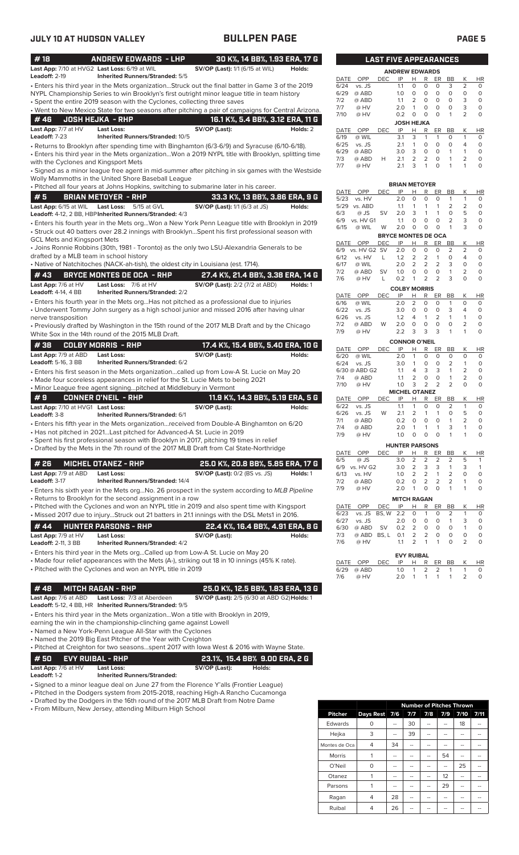| #18                                               | <b>ANDREW EDWARDS - LHP</b>                                                                                                                           |                                             |        | 30 K%, 14 BB%, 1.93 ERA, 17 G    |              |                         | <b>LAST FIVE APPEARANCES</b> |                             |                                  |                                  |                                   |                   |                                          |
|---------------------------------------------------|-------------------------------------------------------------------------------------------------------------------------------------------------------|---------------------------------------------|--------|----------------------------------|--------------|-------------------------|------------------------------|-----------------------------|----------------------------------|----------------------------------|-----------------------------------|-------------------|------------------------------------------|
| Leadoff: 2-19                                     | Last App: 7/10 at HVG2 Last Loss: 6/19 at WIL<br><b>Inherited Runners/Stranded: 5/5</b>                                                               | <b>SV/OP (Last):</b> 1/1 (6/15 at WIL)      |        | Holds:                           | DATE         | OPP                     | <b>DEC</b>                   | <b>ANDREW EDWARDS</b><br>IP | н                                | R                                | ER                                | <b>BB</b>         | Κ<br>H                                   |
|                                                   | · Enters his third year in the Mets organizationStruck out the final batter in Game 3 of the 2019                                                     |                                             |        |                                  | 6/24         | vs. JS                  |                              | 1.1                         | 0                                | 0                                | 0                                 | 3                 | $\overline{2}$<br>0                      |
|                                                   | NYPL Championship Series to win Brooklyn's first outright minor league title in team history                                                          |                                             |        |                                  | 6/29         | @ ABD                   |                              | 1.0                         | $\circ$                          | $\circ$                          | $\circ$                           | $\circ$           | $\circ$<br>0                             |
|                                                   | • Spent the entire 2019 season with the Cyclones, collecting three saves                                                                              |                                             |        |                                  | 7/2          | @ ABD                   |                              | 1.1                         | 2                                | $\circ$                          | $\circ$                           | $\circ$           | 3<br>0                                   |
|                                                   | . Went to New Mexico State for two seasons after pitching a pair of campaigns for Central Arizona.                                                    |                                             |        |                                  | 7/7<br>7/10  | @ HV<br>@ HV            |                              | 2.0<br>0.2                  | $\mathbf{1}$<br>$\circ$          | 0<br>$\circ$                     | 0<br>0<br>$\circ$<br>$\mathbf{1}$ |                   | 3<br>0<br>$\overline{2}$<br>0            |
| #46                                               | <b>JOSH HEJKA - RHP</b>                                                                                                                               |                                             |        | 16.1 K%, 5.4 BB%, 3.12 ERA, 11 G |              |                         |                              | <b>JOSH HEJKA</b>           |                                  |                                  |                                   |                   |                                          |
| Last App: 7/7 at HV                               | <b>Last Loss:</b>                                                                                                                                     | SV/OP (Last):                               |        | Holds: 2                         | DATE         | OPP                     | DEC                          | IP                          | н                                | R                                | ER<br>BB                          |                   | Κ<br>н                                   |
| Leadoff: 7-23                                     | <b>Inherited Runners/Stranded: 10/5</b>                                                                                                               |                                             |        |                                  | 6/19         | @ WIL                   |                              | 3.1                         | 3                                | 1                                | $\mathbf{1}$                      | O                 | $\mathbf{1}$<br>0                        |
|                                                   | • Returns to Brooklyn after spending time with Binghamton (6/3-6/9) and Syracuse (6/10-6/18).                                                         |                                             |        |                                  | 6/25         | vs. JS                  |                              | 2.1                         | 1                                | $\mathbf 0$                      | $\circ$                           | $\circ$           | 4<br>$\Omega$                            |
|                                                   | · Enters his third year in the Mets organizationWon a 2019 NYPL title with Brooklyn, splitting time                                                   |                                             |        |                                  | 6/29<br>7/3  | @ ABD<br>@ ABD          | н                            | 3.0<br>2.1                  | 3<br>2                           | 0<br>2                           | $\circ$<br>$\circ$                | 1<br>$\mathbf{1}$ | $\mathbf{1}$<br>0<br>$\overline{2}$<br>O |
| with the Cyclones and Kingsport Mets              |                                                                                                                                                       |                                             |        |                                  | 7/7          | @ HV                    |                              | 2.1                         | 3                                | 1                                | O<br>1                            |                   | 1<br>0                                   |
|                                                   | · Signed as a minor league free agent in mid-summer after pitching in six games with the Westside                                                     |                                             |        |                                  |              |                         |                              |                             |                                  |                                  |                                   |                   |                                          |
|                                                   | Wolly Mammoths in the United Shore Baseball League                                                                                                    |                                             |        |                                  |              |                         |                              | <b>BRIAN METOYER</b>        |                                  |                                  |                                   |                   |                                          |
|                                                   | · Pitched all four years at Johns Hopkins, switching to submarine later in his career.                                                                |                                             |        |                                  | DATE         | OPP                     | <b>DEC</b>                   | IP                          | Н                                | R                                | ER                                | BB                | Κ<br>H                                   |
| #5                                                | <b>BRIAN METOYER - RHP</b>                                                                                                                            |                                             |        | 33.3 K%, 13 BB%, 3.86 ERA, 9 G   | 5/23         | vs. HV                  |                              | 2.0                         | $\circ$                          | 0                                | 0                                 | 1                 | $\mathbf{1}$<br>C                        |
| Last App: 6/15 at WIL                             | Last Loss: 5/15 at GVL                                                                                                                                | <b>SV/OP (Last):</b> 1/1 (6/3 at JS)        |        | Holds:                           |              | 5/29 vs. ABD            |                              | 1.1                         | 1                                | $\mathbf{1}$                     | 1                                 | 2                 | $\overline{2}$<br>C                      |
|                                                   | Leadoff: 4-12, 2 BB, HBP Inherited Runners/Stranded: 4/3                                                                                              |                                             |        |                                  | 6/3<br>6/9   | @ JS<br>vs. HV G1       | SV                           | 2.0<br>1.1                  | 3<br>$\circ$                     | $\mathbf{1}$<br>$\mathbf 0$      | $\mathbf{1}$<br>$\circ$           | 0<br>2            | 5<br>C<br>3<br>C                         |
|                                                   | · Enters his fourth year in the Mets orgWon a New York Penn League title with Brooklyn in 2019                                                        |                                             |        |                                  | 6/15         | @ WIL                   | W                            | 2.0                         | 0                                | $\mathbf 0$                      | 0                                 | $\mathbf{1}$      | 3<br>C                                   |
|                                                   | · Struck out 40 batters over 28.2 innings with BrooklynSpent his first professional season with                                                       |                                             |        |                                  |              |                         |                              | <b>BRYCE MONTES DE OCA</b>  |                                  |                                  |                                   |                   |                                          |
| <b>GCL Mets and Kingsport Mets</b>                |                                                                                                                                                       |                                             |        |                                  |              | DATE OPP                | <b>DEC</b>                   | IP                          | H                                | R                                | ER<br>BB                          |                   | Κ<br>H                                   |
| drafted by a MLB team in school history           | • Joins Ronnie Robbins (30th, 1981 - Toronto) as the only two LSU-Alexandria Generals to be                                                           |                                             |        |                                  | 6/9          | vs. HV G2 SV            |                              | 2.0                         | $\mathbf 0$                      | 0                                | 0                                 | 2                 | 2<br>0                                   |
|                                                   | • Native of Natchitoches (NACK-ah-tish), the oldest city in Louisiana (est. 1714).                                                                    |                                             |        |                                  | 6/12<br>6/17 | vs. HV<br>@ WIL         | L                            | 1.2<br>2.0                  | $\overline{2}$<br>$\overline{2}$ | $\overline{2}$<br>$\overline{2}$ | $\mathbf{1}$<br>$\overline{2}$    | 0<br>3            | $\overline{4}$<br>0<br>O<br>0            |
|                                                   |                                                                                                                                                       |                                             |        |                                  | 7/2          | @ ABD                   | <b>SV</b>                    | 1.0                         | 0                                | 0                                | 0<br>1                            |                   | $\overline{2}$<br>0                      |
| #43                                               | <b>BRYCE MONTES DE OCA - RHP</b>                                                                                                                      | 27.4 K%, 21.4 BB%, 3.38 ERA, 14 G           |        |                                  | 7/6          | @ HV                    | L                            | 0.2                         | 1                                | $\overline{2}$                   | $\overline{2}$                    | 3                 | $\mathbf 0$<br>0                         |
| Last App: 7/6 at HV                               | Last Loss: 7/6 at HV                                                                                                                                  | <b>SV/OP (Last):</b> 2/2 (7/2 at ABD)       |        | Holds: 1                         |              |                         |                              | <b>COLBY MORRIS</b>         |                                  |                                  |                                   |                   |                                          |
| <b>Leadoff: 4-14, 4 BB</b>                        | <b>Inherited Runners/Stranded: 2/2</b>                                                                                                                |                                             |        |                                  | DATE         | OPP                     | <b>DEC</b>                   | IP                          | н                                | R                                | ER<br>BB                          |                   | Κ<br>HI                                  |
|                                                   | • Enters his fourth year in the Mets org…Has not pitched as a professional due to injuries                                                            |                                             |        |                                  | 6/16         | @ WIL                   |                              | 2.0                         | $\overline{2}$                   | 0                                | $\circ$                           | 1                 | $\circ$<br>0                             |
|                                                   | • Underwent Tommy John surgery as a high school junior and missed 2016 after having ulnar                                                             |                                             |        |                                  | 6/22<br>6/26 | vs. JS<br>vs. JS        |                              | 3.0<br>1.2                  | $\circ$<br>4                     | 0<br>$\mathbf{1}$                | 3<br>0<br>$\overline{2}$<br>1     |                   | 4<br>0<br>$\mathbf{1}$<br>$\circ$        |
| nerve transposition                               | • Previously drafted by Washington in the 15th round of the 2017 MLB Draft and by the Chicago                                                         |                                             |        |                                  | 7/2          | @ ABD                   | W                            | 2.0                         | $\mathbf 0$                      | 0                                | 0<br>0                            |                   | 2<br>0                                   |
|                                                   | White Sox in the 14th round of the 2015 MLB Draft.                                                                                                    |                                             |        |                                  | 7/9          | @ HV                    |                              | 2.2                         | 3                                | 3                                | 3                                 | 1                 | 1<br>O                                   |
|                                                   |                                                                                                                                                       |                                             |        |                                  |              |                         |                              | <b>CONNOR O'NEIL</b>        |                                  |                                  |                                   |                   |                                          |
| #38                                               | <b>COLBY MORRIS - RHP</b>                                                                                                                             | 17.4 K%, 15.4 BB%, 5.40 ERA, 10 G           |        |                                  | DATE         | OPP                     | <b>DEC</b>                   | IP                          | Н                                | R                                | ER<br>BB                          |                   | К<br>H                                   |
| Last App: 7/9 at ABD                              | <b>Last Loss:</b>                                                                                                                                     | SV/OP (Last):                               |        | Holds:                           | 6/20         | @ WIL                   |                              | 2.0                         | $\mathbf{1}$                     | $\circ$                          | $\mathbf 0$                       | $\circ$           | $\circ$<br>C                             |
| Leadoff: 5-16, 3 BB                               | Inherited Runners/Stranded: 6/2                                                                                                                       |                                             |        |                                  | 6/24         | vs. JS<br>6/30 @ ABD G2 |                              | 3.0<br>1.1                  | $\mathbf{1}$<br>4                | 0<br>3                           | 0<br>3                            | 2<br>1            | $\mathbf{1}$<br>C<br>$\overline{2}$<br>C |
|                                                   | · Enters his first season in the Mets organizationcalled up from Low-A St. Lucie on May 20                                                            |                                             |        |                                  | 7/4          | @ ABD                   |                              | 1.1                         | 2                                | 0                                | $\mathbf 0$                       | $\mathbf{1}$      | 2<br>C                                   |
|                                                   | • Made four scoreless appearances in relief for the St. Lucie Mets to being 2021<br>• Minor League free agent signingpitched at Middlebury in Vermont |                                             |        |                                  | 7/10         | @ HV                    |                              | 1.0                         | 3                                | 2                                | $\overline{2}$                    | 2                 | $\Omega$<br>C                            |
|                                                   |                                                                                                                                                       |                                             |        |                                  |              |                         |                              | <b>MICHEL OTANEZ</b>        |                                  |                                  |                                   |                   |                                          |
| #9                                                | <b>CONNER O'NEIL - RHP</b>                                                                                                                            |                                             |        | 11.9 K%, 14.3 BB%, 5.19 ERA, 5 G | DATE<br>6/22 | OPP<br>vs. JS           | DEC                          | IP<br>1.1                   | Н<br>1                           | R<br>$\mathbf 0$                 | ER<br>0                           | BB<br>2           | Κ<br>HI<br>$\mathbf{1}$<br>C             |
| Last App: 7/10 at HVG1 Last Loss:<br>Leadoff: 3-8 | Inherited Runners/Stranded: 6/1                                                                                                                       | SV/OP (Last):                               |        | Holds:                           | 6/26         | vs. JS                  | W                            | 2.1                         | $\overline{2}$                   | $\mathbf{1}$                     | $\mathbf{1}$                      | 0                 | 5<br>C                                   |
|                                                   | · Enters his fifth year in the Mets organizationreceived from Double-A Binghamton on 6/20                                                             |                                             |        |                                  | 7/1          | @ ABD                   |                              | 0.2                         | $\circ$                          | 0                                | 0                                 | 1                 | $\overline{c}$<br>C                      |
|                                                   | • Has not pitched in 2021Last pitched for Advanced-A St. Lucie in 2019                                                                                |                                             |        |                                  | 7/4          | @ ABD                   |                              | 2.0                         | $\mathbf{1}$                     | $\mathbf{1}$                     | 1                                 | 3                 | 1<br>C                                   |
|                                                   | · Spent his first professional season with Brooklyn in 2017, pitching 19 times in relief                                                              |                                             |        |                                  | 7/9          | @ HV                    |                              | 1.0                         | $\circ$                          | 0                                | 0                                 |                   | O                                        |
|                                                   | • Drafted by the Mets in the 7th round of the 2017 MLB Draft from Cal State-Northridge                                                                |                                             |        |                                  |              |                         |                              | <b>HUNTER PARSONS</b>       |                                  |                                  |                                   |                   |                                          |
|                                                   |                                                                                                                                                       |                                             |        |                                  |              | DATE OPP                | <b>DEC</b>                   | IP                          | <u>н</u>                         | $\mathbb{R}$                     | BB<br><u>ER</u>                   |                   | Κ<br>H<br>5                              |
| # 26                                              | <b>MICHEL OTANEZ - RHP</b>                                                                                                                            | 25.0 K%, 20.8 BB%, 5.85 ERA, 17 G           |        |                                  | 6/5          | @ JS<br>6/9 vs. HV G2   |                              | 3.0<br>3.0                  | 2<br>2                           | 2<br>3                           | 2<br>3                            | 2<br>1            | -1<br>3<br>$\mathbf{1}$                  |
| Last App: 7/9 at ABD                              | <b>Last Loss:</b>                                                                                                                                     | <b>SV/OP (Last): 0/2 (BS vs. JS)</b>        |        | Holds: 1                         | 6/13         | vs. HV                  |                              | 1.0                         | 2                                | $\overline{2}$                   | 1                                 | 2                 | $\circ$<br>0                             |
| Leadoff: 3-17                                     | <b>Inherited Runners/Stranded: 14/4</b>                                                                                                               |                                             |        |                                  | 7/2          | @ ABD                   |                              | 0.2                         | 0                                | 2                                | 2                                 | 2                 | 0<br>1                                   |
|                                                   | Enters his sixth year in the Mets orgNo. 26 prospect in the system according to MLB Pipeline                                                          |                                             |        |                                  | 7/9          | @ HV                    |                              | 2.0                         | $\mathbf{1}$                     | 0                                | 0                                 | 1                 | 1<br>O                                   |
|                                                   | • Returns to Brooklyn for the second assignment in a row                                                                                              |                                             |        |                                  |              |                         |                              | <b>MITCH RAGAN</b>          |                                  |                                  |                                   |                   |                                          |
|                                                   | • Pitched with the Cyclones and won an NYPL title in 2019 and also spent time with Kingsport                                                          |                                             |        |                                  | DATE         | OPP<br>vs. JS           | DEC<br>BS, W 2.2             | IP                          | <u>н</u>                         | R<br>1                           | ER<br>$_{\rm BB}$<br>0            | 2                 | Κ<br>H<br>$\mathbf{1}$                   |
|                                                   | • Missed 2017 due to injuryStruck out 21 batters in 21.1 innings with the DSL Mets1 in 2016.                                                          |                                             |        |                                  | 6/23<br>6/27 | vs. JS                  |                              | 2.0                         | 0<br>O                           | 0                                | 0                                 | 1                 | C<br>3<br>C                              |
| #44                                               | <b>HUNTER PARSONS - RHP</b>                                                                                                                           | 22.4 K%, 16.4 BB%, 4.91 ERA, 8 G            |        |                                  | 6/30         | @ ABD                   | SV                           | 0.2                         | $\overline{2}$                   | 0                                | 0                                 | 0                 | $\mathbf{1}$<br>C                        |
| Last App: 7/9 at HV                               | Last Loss:                                                                                                                                            | SV/OP (Last):                               |        | Holds:                           | 7/3          | @ ABD                   | BS, L                        | 0.1                         | $\overline{2}$                   | 2                                | 0                                 | 0                 | 0<br>C                                   |
| <b>Leadoff:</b> 2-11, 3 BB                        | <b>Inherited Runners/Stranded: 4/2</b>                                                                                                                |                                             |        |                                  | 7/6          | @ HV                    |                              | 1.1                         | 2                                | 1                                | 1                                 | 0                 | $\overline{2}$<br>С                      |
|                                                   | • Enters his third year in the Mets orgCalled up from Low-A St. Lucie on May 20                                                                       |                                             |        |                                  |              |                         |                              | <b>EVY RUIBAL</b>           |                                  |                                  |                                   |                   |                                          |
|                                                   | • Made four relief appearances with the Mets (A-), striking out 18 in 10 innings (45% K rate).                                                        |                                             |        |                                  | DATE         | OPP                     | DEC                          | IP                          | Н,                               | R                                | ER BB                             |                   | K<br>H                                   |
|                                                   | • Pitched with the Cyclones and won an NYPL title in 2019                                                                                             |                                             |        |                                  | 6/29         | @ ABD                   |                              | 1.0                         | 1                                | 2                                | 2                                 | 1                 | $\mathbf{1}$<br>O                        |
|                                                   |                                                                                                                                                       |                                             |        |                                  | 7/6          | @ HV                    |                              | 2.0                         | 1                                | 1                                | $\mathbf{1}$<br>1                 |                   | 2<br>O                                   |
| #48                                               | <b>MITCH RAGAN - RHP</b>                                                                                                                              | 25.0 K%, 12.5 BB%, 1.83 ERA, 13 G           |        |                                  |              |                         |                              |                             |                                  |                                  |                                   |                   |                                          |
| Last App: 7/6 at ABD                              | Last Loss: 7/3 at Aberdeen                                                                                                                            | SV/OP (Last): 2/5 (6/30 at ABD G2) Holds: 1 |        |                                  |              |                         |                              |                             |                                  |                                  |                                   |                   |                                          |
|                                                   | <b>Leadoff:</b> 5-12, 4 BB, HR Inherited Runners/ <b>S</b> tranded: 9/5                                                                               |                                             |        |                                  |              |                         |                              |                             |                                  |                                  |                                   |                   |                                          |
|                                                   | • Enters his third year in the Mets organizationWon a title with Brooklyn in 2019,                                                                    |                                             |        |                                  |              |                         |                              |                             |                                  |                                  |                                   |                   |                                          |
|                                                   | earning the win in the championship-clinching game against Lowell                                                                                     |                                             |        |                                  |              |                         |                              |                             |                                  |                                  |                                   |                   |                                          |
|                                                   | • Named a New York-Penn League All-Star with the Cyclones                                                                                             |                                             |        |                                  |              |                         |                              |                             |                                  |                                  |                                   |                   |                                          |
|                                                   | • Named the 2019 Big East Pitcher of the Year with Creighton                                                                                          |                                             |        |                                  |              |                         |                              |                             |                                  |                                  |                                   |                   |                                          |
|                                                   | • Pitched at Creighton for two seasonsspent 2017 with lowa West & 2016 with Wayne State.                                                              |                                             |        |                                  |              |                         |                              |                             |                                  |                                  |                                   |                   |                                          |
| # 50                                              | <b>EVY RUIBAL - RHP</b>                                                                                                                               | 23.1%, 15.4 BB% 9.00 ERA, 2 G               |        |                                  |              |                         |                              |                             |                                  |                                  |                                   |                   |                                          |
| Last App: 7/6 at HV                               | Last Loss:                                                                                                                                            | SV/OP (Last):                               | Holds: |                                  |              |                         |                              |                             |                                  |                                  |                                   |                   |                                          |

**Leadoff:** 1-2 **Inherited Runners/Stranded:**

• Signed to a minor league deal on June 27 from the Florence Y'alls (Frontier League)

• Pitched in the Dodgers system from 2015-2018, reaching High-A Rancho Cucamonga

• Drafted by the Dodgers in the 16th round of the 2017 MLB Draft from Notre Dame

• From Milburn, New Jersey, attending Milburn High School

|                |               |    |     |     |     | <b>Number of Pitches Thrown</b> |      |
|----------------|---------------|----|-----|-----|-----|---------------------------------|------|
| <b>Pitcher</b> | Days Rest 7/6 |    | 7/7 | 7/8 | 7/9 | 7/10                            | 7/11 |
| Edwards        | 0             |    | 30  |     |     | 18                              |      |
| Hejka          | 3             |    | 39  |     |     |                                 |      |
| Montes de Oca  | 4             | 34 |     |     |     |                                 |      |
| Morris         |               |    |     |     | 54  |                                 |      |
| O'Neil         | O             |    |     |     |     | 25                              |      |
| Otanez         |               |    |     |     | 12  | --                              |      |
| Parsons        |               |    |     |     | 29  |                                 |      |
| Ragan          | 4             | 28 |     |     |     | --                              |      |
| Ruibal         | 4             | 26 |     |     |     |                                 |      |

|                       | LAST FIVE APPEARANCES |            |                   |                |          |          |    |                |           |  |  |  |
|-----------------------|-----------------------|------------|-------------------|----------------|----------|----------|----|----------------|-----------|--|--|--|
| <b>ANDREW EDWARDS</b> |                       |            |                   |                |          |          |    |                |           |  |  |  |
| DATE                  | OPP                   | <b>DEC</b> | IP                | н              | R        | ER       | ВB | Κ              | HR        |  |  |  |
| 6/24                  | vs. JS                |            | 1.1               | $\Omega$       | $\Omega$ | $\Omega$ | 3  | $\overline{2}$ | $\Omega$  |  |  |  |
| 6/29                  | @ ABD                 |            | 1.0               | 0              | 0        | O        | O  | 0              | $\Omega$  |  |  |  |
| 7/2                   | @ ABD                 |            | 1.1               | $\overline{2}$ | 0        | O        | O  | 3              | 0         |  |  |  |
| 7/7                   | @ HV                  |            | 2.0               | 1              | $\Omega$ | O        | O  | 3              | $\Omega$  |  |  |  |
| 7/10                  | @ HV                  |            | 0.2               | O              | $\Omega$ | $\Omega$ | 1  | 2              | $\Omega$  |  |  |  |
|                       |                       |            | <b>JOSH HEJKA</b> |                |          |          |    |                |           |  |  |  |
| <b>DATE</b>           | OPP                   | <b>DEC</b> | IP                | н              | R        | ER       | ВB | K              | <b>HR</b> |  |  |  |
| 6/19                  | @ WIL                 |            | 3.1               | 3              | 1        | 1        | O  | 1              | $\Omega$  |  |  |  |
| 6/25                  | vs. JS                |            | 2.1               | 1              | 0        | O        | O  | 4              | 0         |  |  |  |
| 6/29                  | @ ABD                 |            | 3.0               | 3              | $\Omega$ | O        | 1  | 1              | $\Omega$  |  |  |  |
| 7/3                   | @ ABD                 | н          | 2.1               | $\overline{2}$ | 2        | $\Omega$ | 1  | 2              | $\Omega$  |  |  |  |
| 7/7                   | @ HV                  |            | 2.1               | 3              | 1        | 0        | 1  | 1              | 0         |  |  |  |

|                            |                      |            | <b>BRIAN METOYER</b> |                |                |                |                |                |          |  |  |
|----------------------------|----------------------|------------|----------------------|----------------|----------------|----------------|----------------|----------------|----------|--|--|
| <b>DATE</b>                | OPP                  | <b>DEC</b> | IP                   | Н              | R              | ER             | BB             | Κ              | ΗR       |  |  |
| 5/23                       | vs. HV               |            | 2.0                  | O              | $\Omega$       | 0              | 1              | 1              | 0        |  |  |
| 5/29                       | vs. ABD              |            | 1.1                  | 1              | 1              | 1              | $\overline{2}$ | 2              | 0        |  |  |
| 6/3                        | $@$ JS               | SV         | 2.0                  | 3              | 1              | 1              | 0              | 5              | 0        |  |  |
| 6/9                        | vs. HV G1            |            | 1.1                  | $\Omega$       | $\Omega$       | 0              | $\overline{2}$ | 3              | 0        |  |  |
| 6/15                       | @ WIL                | W          | 2.0                  | O              | 0              | 0              | 1              | 3              | $\Omega$ |  |  |
| <b>BRYCE MONTES DE OCA</b> |                      |            |                      |                |                |                |                |                |          |  |  |
| DATE                       | OPP                  | <b>DEC</b> | IP                   | Н              | R              | ER             | BB             | Κ              | HR       |  |  |
| 6/9                        | vs. HV G2            | <b>SV</b>  | 2.0                  | $\Omega$       | 0              | O              | $\overline{2}$ | $\overline{2}$ | 0        |  |  |
| 6/12                       | vs. HV               | L          | 1.2                  | $\overline{2}$ | 2              | 1              | 0              | $\overline{4}$ | 0        |  |  |
| 6/17                       | @ WIL                |            | 2.0                  | $\overline{2}$ | $\overline{2}$ | $\overline{2}$ | 3              | 0              | 0        |  |  |
| 7/2                        | @ ABD                | SV         | 1.0                  | 0              | 0              | $\Omega$       | 1              | $\overline{2}$ | 0        |  |  |
| 7/6                        | @ HV                 | L          | 0.2                  | 1              | $\overline{2}$ | $\overline{2}$ | 3              | $\Omega$       | $\Omega$ |  |  |
|                            |                      |            | <b>COLBY MORRIS</b>  |                |                |                |                |                |          |  |  |
| DATE                       | OPP                  | <b>DEC</b> | IP                   | Н              | R              | ER             | <b>BB</b>      | Κ              | HR       |  |  |
| 6/16                       | @ WIL                |            | 2.0                  | $\overline{2}$ | 0              | $\Omega$       | 1              | $\Omega$       | $\Omega$ |  |  |
| 6/22                       | vs. JS               |            | 3.0                  | $\Omega$       | 0              | O              | 3              | 4              | O        |  |  |
| 6/26                       | vs. JS               |            | 1.2                  | 4              | 1              | $\overline{2}$ | 1              | 1              | $\Omega$ |  |  |
| 7/2                        | @ ABD                | W          | 2.0                  | $\Omega$       | 0              | O              | O              | 2              | 0        |  |  |
| 7/9                        | @ HV                 |            | 2.2                  | 3              | 3              | 3              | 1              | 1              | $\Omega$ |  |  |
|                            | <b>CONNOR O'NEIL</b> |            |                      |                |                |                |                |                |          |  |  |
| DATE                       | OPP                  | <b>DEC</b> | IP                   | Н              | R              | ER             | ВB             | Κ              | ΗR       |  |  |
| 6/20                       | @ WIL                |            | 2.0                  | 1              | $\Omega$       | 0              | 0              | $\Omega$       | 0        |  |  |
| $\sim$ 1 $\sim$ 4          | $\sim$ 10            |            | $\sim$ $\sim$        | $\overline{a}$ | $\sim$         | $\sim$         | $\sim$         | $\overline{a}$ | $\sim$   |  |  |

| 6/20        | $\omega$ WIL  |            | 2.0                   |                | O              | O              | O              | O           | O  |
|-------------|---------------|------------|-----------------------|----------------|----------------|----------------|----------------|-------------|----|
| 6/24        | vs. JS        |            | 3.0                   | 1              | 0              | 0              | $\overline{2}$ | 1           | 0  |
|             | 6/30 @ ABD G2 |            | 1.1                   | 4              | 3              | 3              | 1              | 2           | 0  |
| 7/4         | @ ABD         |            | 1.1                   | $\overline{2}$ | 0              | 0              | 1              | 2           | 0  |
| 7/10        | @ HV          |            | 1.0                   | 3              | 2              | $\overline{2}$ | 2              | 0           | 0  |
|             |               |            | <b>MICHEL OTANEZ</b>  |                |                |                |                |             |    |
| <b>DATE</b> | OPP           | DEC        | IP                    | Н              | R              | ER             | BB             | Κ           | ΗR |
| 6/22        | vs. JS        |            | 1.1                   | 1              | $\Omega$       | 0              | 2              | 1           | 0  |
| 6/26        | vs. JS        | W          | 2.1                   | 2              | 1              | 1              | 0              | 5           | 0  |
| 7/1         | @ ABD         |            | 0.2                   | 0              | 0              | 0              | 1              | 2           | 0  |
| 7/4         | @ ABD         |            | 2.0                   | 1              | 1              | 1              | 3              | 1           | 0  |
| 7/9         | @ HV          |            | 1.0                   | 0              | 0              | 0              | 1              | 1           | 0  |
|             |               |            | <b>HUNTER PARSONS</b> |                |                |                |                |             |    |
| <b>DATE</b> | OPP           | <b>DEC</b> | IP                    | н              | R              | ER             | BB             | Κ           | ΗR |
| 6/5         | @ JS          |            | 3.0                   | $\overline{2}$ | 2              | $\overline{2}$ | $\overline{2}$ | 5           | 1  |
| 6/9         | vs. HV G2     |            | 3.0                   | 2              | 3              | 3              | 1              | 3           | 1  |
| 6/13        | vs. HV        |            | 1.0                   | 2              | 2              | 1              | 2              | $\mathbf 0$ | 0  |
| 7/2         | @ ABD         |            | 0.2                   | $\Omega$       | $\overline{2}$ | $\overline{2}$ | $\overline{2}$ | 1           | 0  |
| 7/9         | @ HV          |            | 2.0                   | 1              | 0              | O              | 1              | 1           | 0  |
|             |               |            | <b>MITCH RAGAN</b>    |                |                |                |                |             |    |
| DATE        | OPP           | DEC        | IP                    | Н              | R              | ER             | BB             | Κ           | ΗR |

|                   | 6/27 vs. JS                |        | 2.0               | $\circ$ $\circ$ |  | $\circ$ |          | -3 | $\Omega$ |
|-------------------|----------------------------|--------|-------------------|-----------------|--|---------|----------|----|----------|
|                   |                            |        |                   |                 |  |         |          |    |          |
|                   | 6/30 @ ABD SV 0.2 2 0 0    |        |                   |                 |  |         | $\Omega$ |    | $\Omega$ |
|                   | 7/3 @ ABD BS.L 0.1 2 2 0 0 |        |                   |                 |  |         |          | O  | $\circ$  |
| 7/6               | @ HV                       |        | $1.1 \t2 \t1 \t1$ |                 |  |         | $\Omega$ |    | $\Omega$ |
| <b>EVY RUIBAL</b> |                            |        |                   |                 |  |         |          |    |          |
|                   |                            |        |                   |                 |  |         |          |    |          |
| DATE              | OPP                        | DEC IP |                   | H R             |  | ER      | BB       | K  | HR       |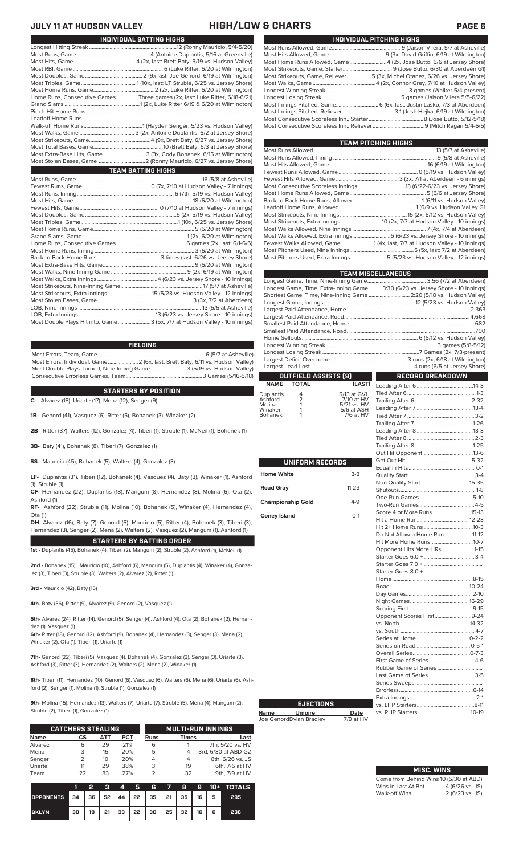| Home Runs, Consecutive Games Three games (2x, last: Luke Ritter, 6/18-6/21) |
|-----------------------------------------------------------------------------|
|                                                                             |
|                                                                             |
|                                                                             |
|                                                                             |
|                                                                             |
|                                                                             |
|                                                                             |
| Most Extra-Base Hits, Game 3 (3x, Cody Bohanek, 6/15 at Wilmington)         |
|                                                                             |
| <b>TEAM BATTING HIGHS</b>                                                   |
|                                                                             |
|                                                                             |
|                                                                             |
|                                                                             |
|                                                                             |
|                                                                             |

**INDIVIDUAL BATTING HIGHS**

| Most Double Plays Hit into, Game3 (5x, 7/7 at Hudson Valley - 10 innings) |  |
|---------------------------------------------------------------------------|--|
|                                                                           |  |

### **FIELDING**

Most Errors, Team, Game...............................................................................6 (5/7 at Asheville) .<br>2 (6x, last: Brett Baty, 6/11 vs. Hudson Valley)<br>3 (5/19 vs. Hudson Valley) Most Double Plays Turned, Nine-Inning Game.......................... 3 (5/19 vs. Hudson Valley) Consecutive Errorless Games, Team.

**STARTERS BY POSITION**

**C-** Alvarez (18), Uriarte (17), Mena (12), Senger (9)

**1B-** Genord (41), Vasquez (6), Ritter (5), Bohanek (3), Winaker (2)

**2B-** Ritter (37), Walters (12), Gonzalez (4), Tiberi (1), Struble (1), McNeil (1), Bohanek (1)

**3B-** Baty (41), Bohanek (8), Tiberi (7), Gonzalez (1)

**SS-** Mauricio (45), Bohanek (5), Walters (4), Gonzalez (3)

**LF-** Duplantis (31), Tiberi (12), Bohanek (4), Vasquez (4), Baty (3), Winaker (1), Ashford (1), Struble (1)

**CF-** Hernandez (22), Duplantis (18), Mangum (8), Hernandez (8), Molina (6), Ota (2), Ashford (1)

**RF-** Ashford (22), Struble (11), Molina (10), Bohanek (5), Winaker (4), Hernandez (4), Ota (1)

**STARTERS BY BATTING ORDER DH-** Alvarez (16), Baty (7), Genord (6), Mauricio (5), Ritter (4), Bohanek (3), Tiberi (3), Hernandez (3), Senger (2), Mena (2), Walters (2), Vasquez (2), Mangum (1), Ashford (1)

**1st -** Duplantis (45), Bohanek (4), Tiberi (2), Mangum (2), Struble (2), Ashford (1), McNeil (1)

**2nd -** Bohanek (15), Mauricio (10), Ashford (6), Mangum (5), Duplantis (4), Winaker (4), Gonzalez (3), Tiberi (3), Struble (3), Walters (2), Alvarez (2), Ritter (1)

**3rd -** Mauricio (42), Baty (15)

**4th-** Baty (36), Ritter (9), Alvarez (9), Genord (2), Vasquez (1)

**5th-** Alvarez (24), Ritter (14), Genord (5), Senger (4), Ashford (4), Ota (2), Bohanek (2), Hernandez (1), Vasquez (1)

**6th-** Ritter (18), Genord (12), Ashford (9), Bohanek (4), Hernandez (3), Senger (3), Mena (2), Winaker (2), Ota (1), Tiberi (1), Uriarte (1)

**7th-** Genord (22), Tiberi (5), Vasquez (4), Bohanek (4), Gonzalez (3), Senger (3), Uriarte (3), Ashford (3), Ritter (3), Hernandez (2), Walters (2), Mena (2), Winaker (1)

**8th-** Tiberi (11), Hernandez (10), Genord (6), Vasquez (6), Walters (6), Mena (6), Uriarte (6), Ashford (2), Senger (1), Molina (1), Struble (1), Gonzalez (1)

**9th-** Molina (15), Hernandez (13), Walters (7), Uriarte (7), Struble (5), Mena (4), Mangum (2), Struble (2), Tiberi (1), Gonzalez (1)

| <b>CATCHERS STEALING</b> |    |     |            |      | <b>MULTI-RUN INNINGS</b> |                     |  |  |
|--------------------------|----|-----|------------|------|--------------------------|---------------------|--|--|
| <b>Name</b>              | СS | АТТ | <b>PCT</b> | Runs | <b>Times</b>             | Last                |  |  |
| Alvarez                  | 6  | 29  | 21%        | 6    |                          | 7th, 5/20 vs. HV    |  |  |
| Mena                     | 3  | 15  | 20%        | 5    | 4                        | 3rd, 6/30 at ABD G2 |  |  |
| Senger                   | フ  | 10  | 20%        | 4    | 4                        | 8th, 6/26 vs. JS    |  |  |
| Uriarte                  |    | 29  | 38%        | 3    | 19                       | 6th, 7/6 at HV      |  |  |
| Team                     | フフ | 83  | 27%        | っ    | 32                       | 9th, 7/9 at HV      |  |  |

|                  |                                                             | 2  | 7 R. |    |      |    |         |      |   | 4 5 6 7 8 9 10 + TOTALS |
|------------------|-------------------------------------------------------------|----|------|----|------|----|---------|------|---|-------------------------|
| <b>OPPONENTS</b> | <sup>1</sup> 34   36   52   44   22   35   21   35   16   5 |    |      |    |      |    |         |      |   | 295                     |
| <b>BKLYN</b>     | 30                                                          | 19 | 21   | 33 | l 22 | 30 | 25   32 | 16 I | 6 | 236                     |

### **JULY 11 AT HUDSON VALLEY HIGH/LOW & CHARTS PAGE 6**

| INDIVIDUAL PITCHING HIGHS                                                   |
|-----------------------------------------------------------------------------|
|                                                                             |
|                                                                             |
|                                                                             |
|                                                                             |
| Most Strikeouts, Game, Reliever5 (3x, Michel Otanez, 6/26 vs. Jersey Shore) |
|                                                                             |
|                                                                             |
|                                                                             |
|                                                                             |
|                                                                             |
|                                                                             |
|                                                                             |

| TEAM PITCHING HIGHS                                                        |  |
|----------------------------------------------------------------------------|--|
|                                                                            |  |
|                                                                            |  |
|                                                                            |  |
|                                                                            |  |
|                                                                            |  |
| Most Consecutive Scoreless Innings 13 (6/22-6/23 vs. Jersey Shore)         |  |
|                                                                            |  |
|                                                                            |  |
|                                                                            |  |
|                                                                            |  |
| Most Strikeouts, Extra Innings  10 (2x, 7/7 at Hudson Valley - 10 innings) |  |
|                                                                            |  |
| Most Walks Allowed, Extra Innings 6 (6/23 vs. Jersey Shore - 10 innings)   |  |
| Fewest Walks Allowed, Game 1 (4x, last, 7/7 at Hudson Valley - 10 innings) |  |
|                                                                            |  |
| Most Pitchers Used, Extra Innings5 (5/23 vs. Hudson Valley - 12 innings)   |  |
|                                                                            |  |

|                          |                      |                           | <b>TEAM MISCELLANEOUS</b>                                                      |  |
|--------------------------|----------------------|---------------------------|--------------------------------------------------------------------------------|--|
|                          |                      |                           |                                                                                |  |
|                          |                      |                           | Longest Game, Time, Extra-Inning Game3:30 (6/23 vs. Jersey Shore - 10 innings) |  |
|                          |                      |                           | Shortest Game, Time, Nine-Inning Game  2:20 (5/18 vs. Hudson Valley)           |  |
|                          |                      |                           |                                                                                |  |
|                          |                      |                           |                                                                                |  |
|                          |                      |                           |                                                                                |  |
|                          |                      |                           |                                                                                |  |
|                          |                      |                           |                                                                                |  |
|                          |                      |                           |                                                                                |  |
|                          |                      |                           |                                                                                |  |
|                          |                      |                           |                                                                                |  |
|                          |                      |                           |                                                                                |  |
|                          |                      |                           |                                                                                |  |
|                          | OUTFIELD ASSISTS (9) |                           | <b>RECORD BREAKDOWN</b>                                                        |  |
| <b>NAME</b>              | <b>TOTAL</b>         | (LAST)                    |                                                                                |  |
|                          |                      |                           |                                                                                |  |
| Duplantis<br>Ashford     | 4                    | 5/13 at GVL<br>7/10 at HV |                                                                                |  |
| Molina                   | $\frac{2}{1}$        | 5/21 vs. HV               |                                                                                |  |
| Winaker                  | 1                    | 5/6 at ASH                |                                                                                |  |
| Bohanek                  | 1                    | 7/6 at HV                 |                                                                                |  |
|                          |                      |                           |                                                                                |  |
|                          |                      |                           |                                                                                |  |
|                          |                      |                           |                                                                                |  |
|                          |                      |                           |                                                                                |  |
|                          |                      |                           |                                                                                |  |
|                          | UNIFORM RECORDS      |                           |                                                                                |  |
|                          |                      |                           |                                                                                |  |
| <b>Home White</b>        |                      | $3-3$                     |                                                                                |  |
|                          |                      |                           |                                                                                |  |
| <b>Road Gray</b>         |                      | $11 - 23$                 |                                                                                |  |
| <b>Championship Gold</b> |                      |                           |                                                                                |  |
|                          |                      | $4-9$                     |                                                                                |  |
|                          |                      | $0 - 1$                   | Score 4 or More Runs 15-13                                                     |  |
| <b>Coney Island</b>      |                      |                           |                                                                                |  |
|                          |                      |                           |                                                                                |  |
|                          |                      |                           | Do Not Allow a Home Run 11-12                                                  |  |
|                          |                      |                           | Hit More Home Runs 10-7                                                        |  |
|                          |                      |                           | Opponent Hits More HRs1-15                                                     |  |
|                          |                      |                           |                                                                                |  |
|                          |                      |                           |                                                                                |  |
|                          |                      |                           |                                                                                |  |
|                          |                      |                           |                                                                                |  |
|                          |                      |                           |                                                                                |  |
|                          |                      |                           |                                                                                |  |
|                          |                      |                           |                                                                                |  |
|                          |                      |                           |                                                                                |  |
|                          |                      |                           | Opponent Scores First9-24                                                      |  |
|                          |                      |                           |                                                                                |  |
|                          |                      |                           |                                                                                |  |
|                          |                      |                           |                                                                                |  |
|                          |                      |                           |                                                                                |  |
|                          |                      |                           |                                                                                |  |
|                          |                      |                           |                                                                                |  |
|                          |                      |                           |                                                                                |  |
|                          |                      |                           |                                                                                |  |
|                          |                      |                           | Last Game of Series  3-5                                                       |  |
|                          |                      |                           |                                                                                |  |
|                          |                      |                           |                                                                                |  |

|             | <b>EJECTIONS</b>        |           |
|-------------|-------------------------|-----------|
| <b>Name</b> | <b>Umpire</b>           | Date      |
|             | Joe GenordDylan Bradley | 7/9 at HV |

Errorless......................................................6-14

vs. LHP Starters..........................................8-11

Extra Innings.

vs. RHP Starters.

| <b>MISC. WINS</b>               |  |
|---------------------------------|--|
| ne from Behind Wins 10 (6/30 at |  |

| Come from Behind Wins 10 (6/30 at ABD) |  |  |
|----------------------------------------|--|--|
| Wins in Last At-Bat4 (6/26 vs. JS)     |  |  |
|                                        |  |  |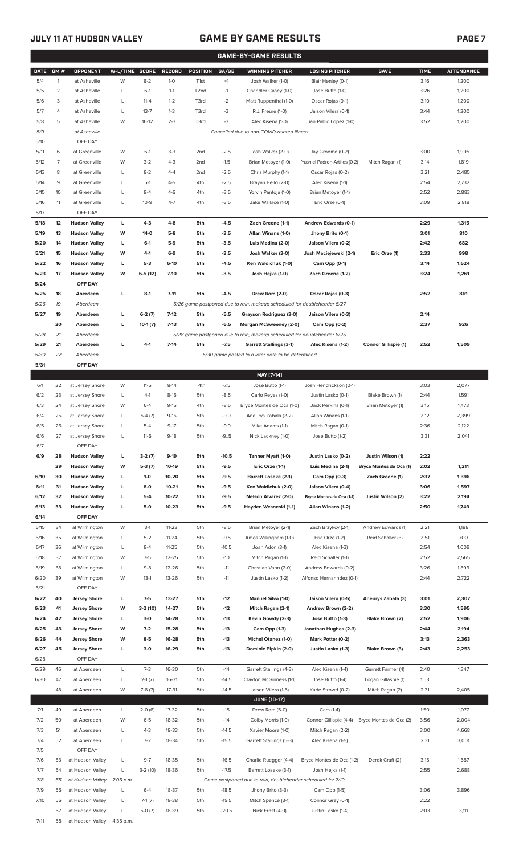## **JULY 11 AT HUDSON VALLEY GAME BY GAME RESULTS PAGE 7**

| <b>GAME-BY-GAME RESULTS</b> |                |                               |                |           |               |                  |         |                                                                         |                               |                         |             |                   |
|-----------------------------|----------------|-------------------------------|----------------|-----------|---------------|------------------|---------|-------------------------------------------------------------------------|-------------------------------|-------------------------|-------------|-------------------|
| <b>DATE</b>                 | GM#            | OPPONENT                      | W-L/TIME SCORE |           | <b>RECORD</b> | <b>POSITION</b>  | GA/GB   | <b>WINNING PITCHER</b>                                                  | <b>LOSING PITCHER</b>         | <b>SAVE</b>             | <b>TIME</b> | <b>ATTENDANCE</b> |
| 5/4                         | $\mathbf{1}$   | at Asheville                  | W              | $8-2$     | $1-0$         | T <sub>1st</sub> | $+1$    | Josh Walker (1-0)                                                       | Blair Henley (0-1)            |                         | 3:16        | 1,200             |
| 5/5                         | $\overline{2}$ | at Asheville                  | L              | $6-1$     | $1 - 1$       | T <sub>2nd</sub> | $-1$    | Chandler Casey (1-0)                                                    | Jose Butto (1-0)              |                         | 3:26        | 1,200             |
| 5/6                         | 3              | at Asheville                  | L              | $11 - 4$  | $1 - 2$       | T3rd             | $-2$    | Matt Ruppenthal (1-0)                                                   | Oscar Rojas (0-1)             |                         | 3:10        | 1,200             |
| 5/7                         | 4              | at Asheville                  | $\mathsf{L}$   | $13 - 7$  | $1 - 3$       | T3rd             | -3      | R.J. Freure (1-0)                                                       | Jaison Vilera (0-1)           |                         | 3:44        | 1,200             |
| 5/8                         | 5              | at Asheville                  | W              | $16-12$   | $2 - 3$       | T3rd             | -3      | Alec Kisena (1-0)                                                       | Juan Pablo Lopez (1-0)        |                         | 3:52        | 1,200             |
| 5/9                         |                | at Asheville                  |                |           |               |                  |         | Cancelled due to non-COVID-related illness                              |                               |                         |             |                   |
| 5/10                        |                | OFF DAY                       |                |           |               |                  |         |                                                                         |                               |                         |             |                   |
| 5/11                        | 6              | at Greenville                 | W              | $6-1$     | $3-3$         | 2 <sub>nd</sub>  | $-2.5$  | Josh Walker (2-0)                                                       | Jay Groome (0-2)              |                         | 3:00        | 1,995             |
| 5/12                        | $\overline{7}$ | at Greenville                 | W              | $3-2$     | $4 - 3$       | 2 <sub>nd</sub>  | $-1.5$  | Brian Metoyer (1-0)                                                     | Yusniel Padron-Artilles (0-2) | Mitch Ragan (1)         | 3:14        | 1,819             |
| 5/13                        | 8              | at Greenville                 | L              | $8 - 2$   | $4 - 4$       | 2 <sub>nd</sub>  | $-2.5$  | Chris Murphy (1-1)                                                      | Oscar Rojas (0-2)             |                         | 3:21        | 2,485             |
| 5/14                        | 9              | at Greenville                 | L              | $5-1$     | $4 - 5$       | 4th              | $-2.5$  | Brayan Bello (2-0)                                                      | Alec Kisena (1-1)             |                         | 2:54        | 2,732             |
| 5/15                        | 10             | at Greenville                 | L              | $8 - 4$   | $4-6$         | 4th              | $-3.5$  | Yorvin Pantoja (1-0)                                                    | Brian Metoyer (1-1)           |                         | 2:52        | 2,883             |
| 5/16                        | 11             | at Greenville                 | L              | $10 - 9$  | $4 - 7$       | 4th              | $-3.5$  | Jake Wallace (1-0)                                                      | Eric Orze (0-1)               |                         | 3:09        | 2,818             |
| 5/17                        |                | OFF DAY                       |                |           |               |                  |         |                                                                         |                               |                         |             |                   |
| 5/18                        | 12             | <b>Hudson Valley</b>          | L              | $4-3$     | $4 - 8$       | 5th              | $-4.5$  | Zach Greene (1-1)                                                       | Andrew Edwards (0-1)          |                         | 2:29        | 1,315             |
| 5/19                        | 13             | <b>Hudson Valley</b>          | W              | $14-0$    | $5-8$         | 5th              | $-3.5$  | Allan Winans (1-0)                                                      | Jhony Brito (0-1)             |                         | 3:01        | 810               |
|                             |                |                               |                |           |               |                  |         |                                                                         |                               |                         |             |                   |
| 5/20                        | 14             | <b>Hudson Valley</b>          | L              | $6 - 1$   | $5-9$         | 5th              | $-3.5$  | Luis Medina (2-0)                                                       | Jaison Vilera (0-2)           |                         | 2:42        | 682               |
| 5/21                        | 15             | <b>Hudson Valley</b>          | W              | $4-1$     | $6-9$         | 5th              | $-3.5$  | Josh Walker (3-0)                                                       | Josh Maciejewski (2-1)        | Eric Orze (1)           | 2:33        | 998               |
| 5/22                        | 16             | <b>Hudson Valley</b>          | L              | $5-3$     | $6-10$        | 5th              | $-4.5$  | Ken Waldichuk (1-0)                                                     | Cam Opp (0-1)                 |                         | 3:14        | 1,624             |
| 5/23                        | 17             | <b>Hudson Valley</b>          | W              | $6-5(12)$ | $7-10$        | 5th              | $-3.5$  | Josh Hejka (1-0)                                                        | Zach Greene (1-2)             |                         | 3:24        | 1,261             |
| 5/24                        |                | OFF DAY                       |                |           |               |                  |         |                                                                         |                               |                         |             |                   |
| 5/25                        | 18             | Aberdeen                      | L              | $8-1$     | $7 - 11$      | 5th              | $-4.5$  | Drew Rom (2-0)                                                          | Oscar Rojas (0-3)             |                         | 2:52        | 861               |
| 5/26                        | 19             | Aberdeen                      |                |           |               |                  |         | 5/26 game postponed due to rain, makeup scheduled for doubleheader 5/27 |                               |                         |             |                   |
| 5/27                        | 19             | Aberdeen                      | г              | $6-2(7)$  | $7-12$        | 5th              | $-5.5$  | Grayson Rodriguez (3-0)                                                 | Jaison Vilera (0-3)           |                         | 2:14        |                   |
|                             | 20             | Aberdeen                      | L              | $10-1(7)$ | $7-13$        | 5th              | $-6.5$  | Morgan McSweeney (2-0)                                                  | Cam Opp (0-2)                 |                         | 2:37        | 926               |
| 5/28                        | 21             | Aberdeen                      |                |           |               |                  |         | 5/28 game postponed due to rain, makeup scheduled for doubleheader 8/25 |                               |                         |             |                   |
| 5/29                        | 21             | Aberdeen                      | г              | $4-1$     | $7 - 14$      | 5th              | $-7.5$  | <b>Garrett Stallings (3-1)</b>                                          | Alec Kisena (1-2)             | Connor Gillispie (1)    | 2:52        | 1,509             |
| 5/30                        | 22             | Aberdeen                      |                |           |               |                  |         | 5/30 game posted to a later date to be determined                       |                               |                         |             |                   |
| 5/31                        |                | OFF DAY                       |                |           |               |                  |         |                                                                         |                               |                         |             |                   |
|                             |                |                               |                |           |               |                  |         | MAY [7-14]                                                              |                               |                         |             |                   |
| 6/1                         | 22             | at Jersey Shore               | W              | $11 - 5$  | $8-14$        | T4th             | $-7.5$  | Jose Butto (1-1)                                                        | Josh Hendrickson (0-1)        |                         | 3:03        | 2,077             |
| 6/2                         | 23             | at Jersey Shore               | L              | $4-1$     | $8 - 15$      | 5th              | $-8.5$  | Carlo Reyes (1-0)                                                       | Justin Lasko (0-1)            | Blake Brown (1)         | 2:44        | 1,591             |
| 6/3                         | 24             | at Jersey Shore               | W              | $6 - 4$   | $9 - 15$      | 4th              | $-8.5$  | Bryce Montes de Oca (1-0)                                               | Jack Perkins (0-1)            | Brian Metoyer (1)       | 3:15        | 1,473             |
| 6/4                         | 25             | at Jersey Shore               | L              | $5-4(7)$  | $9-16$        | 5th              | $-9.0$  | Aneurys Zabala (2-2)                                                    | Allan Winans (1-1)            |                         | 2:12        | 2,399             |
| 6/5                         | 26             | at Jersey Shore               | L              | $5 - 4$   | $9-17$        | 5th              | $-9.0$  | Mike Adams (1-1)                                                        | Mitch Ragan (0-1)             |                         | 2:36        | 2,122             |
| 6/6                         | 27             | at Jersey Shore               | L              | $11-6$    | $9-18$        | 5th              | $-9.5$  | Nick Lackney (1-0)                                                      | Jose Butto (1-2)              |                         | 3:31        | 2,041             |
| 6/7                         |                | OFF DAY                       |                |           |               |                  |         |                                                                         |                               |                         |             |                   |
| 6/9                         | 28             | <b>Hudson Valley</b>          | L              | $3-2(7)$  | $9-19$        | 5th              | $-10.5$ | Tanner Myatt (1-0)                                                      | Justin Lasko (0-2)            | Justin Wilson (1)       | 2:22        |                   |
|                             | 29             | <b>Hudson Valley</b>          | W              | $5-3(7)$  | 10-19         | 5th              | $-9.5$  | Eric Orze (1-1)                                                         | Luis Medina (2-1)             | Bryce Montes de Oca (1) | 2:02        | 1,211             |
| 6/10                        | 30             | <b>Hudson Valley</b>          | L              | $1 - 0$   | 10-20         | 5th              | $-9.5$  | <b>Barrett Loseke (2-1)</b>                                             | Cam Opp (0-3)                 | Zach Greene (1)         | 2:37        | 1,396             |
| 6/11                        | 31             | <b>Hudson Valley</b>          | L              | $8-0$     | $10 - 21$     | 5th              | $-9.5$  | Ken Waldichuk (2-0)                                                     | Jaison Vilera (0-4)           |                         | 3:06        | 1,597             |
| 6/12                        | 32             | <b>Hudson Valley</b>          | L              | $5-4$     | 10-22         | 5th              | $-9.5$  | Nelson Alvarez (2-0)                                                    | Bryce Montes de Oca (1-1)     | Justin Wilson (2)       | 3:22        | 2,194             |
| 6/13                        | 33             | <b>Hudson Valley</b>          | L              | $5-0$     | $10 - 23$     | 5th              | $-9.5$  | Hayden Wesneski (1-1)                                                   | Allan Winans (1-2)            |                         | 2:50        | 1,749             |
| 6/14                        |                | OFF DAY                       |                |           |               |                  |         |                                                                         |                               |                         |             |                   |
|                             |                |                               |                |           |               |                  |         |                                                                         |                               |                         |             |                   |
| 6/15                        | 34             | at Wilmington                 | W              | $3-1$     | $11 - 23$     | 5th              | $-8.5$  | Brian Metoyer (2-1)                                                     | Zach Brzykcy (2-1)            | Andrew Edwards (1)      | 2:21        | 1,188             |
| 6/16                        | 35             | at Wilmington                 | L              | $5 - 2$   | $11 - 24$     | 5th              | $-9.5$  | Amos Willingham (1-0)                                                   | Eric Orze (1-2)               | Reid Schaller (3)       | 2:51        | 700               |
| 6/17                        | 36             | at Wilmington                 | L              | $8 - 4$   | $11 - 25$     | 5th              | $-10.5$ | Joan Adon (3-1)                                                         | Alec Kisena (1-3)             |                         | 2:54        | 1,009             |
| 6/18                        | 37             | at Wilmington                 | W              | $7-5$     | $12 - 25$     | 5th              | $-10$   | Mitch Ragan (1-1)                                                       | Reid Schaller (1-1)           |                         | 2:52        | 2,565             |
| 6/19                        | 38             | at Wilmington                 | L              | $9 - 8$   | $12 - 26$     | 5th              | $-11$   | Christian Vann (2-0)                                                    | Andrew Edwards (0-2)          |                         | 3:26        | 1,899             |
| 6/20                        | 39             | at Wilmington                 | W              | $13-1$    | 13-26         | 5th              | $-11$   | Justin Lasko (1-2)                                                      | Alfonso Hernanndez (0-1)      |                         | 2:44        | 2,722             |
| 6/21                        |                | OFF DAY                       |                |           |               |                  |         |                                                                         |                               |                         |             |                   |
| 6/22                        | 40             | <b>Jersey Shore</b>           | L              | $7 - 5$   | 13-27         | 5th              | $-12$   | Manuel Silva (1-0)                                                      | Jaison Vilera (0-5)           | Aneurys Zabala (3)      | 3:01        | 2,307             |
| 6/23                        | 41             | <b>Jersey Shore</b>           | W              | $3-2(10)$ | 14-27         | 5th              | $-12$   | Mitch Ragan (2-1)                                                       | Andrew Brown (2-2)            |                         | 3:30        | 1,595             |
| 6/24                        | 42             | <b>Jersey Shore</b>           | L              | $3-0$     | 14-28         | 5th              | $-13$   | Kevin Gowdy (2-3)                                                       | Jose Butto (1-3)              | Blake Brown (2)         | 2:52        | 1,906             |
| 6/25                        | 43             | <b>Jersey Shore</b>           | W              | $7 - 2$   | 15-28         | 5th              | $-13$   | Cam Opp (1-3)                                                           | Jonathan Hughes (2-3)         |                         | 2:44        | 2,194             |
| 6/26                        | 44             | <b>Jersey Shore</b>           | W              | $8-5$     | 16-28         | 5th              | $-13$   | Michel Otanez (1-0)                                                     | Mark Potter (0-2)             |                         | 3:13        | 2,363             |
| 6/27                        | 45             | <b>Jersey Shore</b>           | L              | $3-0$     | 16-29         | 5th              | $-13$   | Dominic Pipkin (2-0)                                                    | Justin Lasko (1-3)            | Blake Brown (3)         | 2:43        | 2,253             |
| 6/28                        |                | OFF DAY                       |                |           |               |                  |         |                                                                         |                               |                         |             |                   |
| 6/29                        | 46             | at Aberdeen                   | L              | $7 - 3$   | 16-30         | 5th              | $-14$   | Garrett Stallings (4-3)                                                 | Alec Kisena (1-4)             | Garrett Farmer (4)      | 2:40        | 1,347             |
| 6/30                        | 47             | at Aberdeen                   | L              | $2-1(7)$  | 16-31         | 5th              | $-14.5$ | Clayton McGinness (1-1)                                                 | Jose Butto (1-4)              | Logan Gillaspie (1)     | 1:53        |                   |
|                             | 48             | at Aberdeen                   | W              | $7-6(7)$  | $17 - 31$     | 5th              | $-14.5$ | Jaison Vilera (1-5)                                                     | Kade Strowd (0-2)             | Mitch Ragan (2)         | 2:31        | 2,405             |
|                             |                |                               |                |           |               |                  |         | <b>JUNE [10-17]</b>                                                     |                               |                         |             |                   |
| 7/1                         | 49             | at Aberdeen                   | L              | $2-0(6)$  | 17-32         | 5th              | $-15$   | Drew Rom (5-0)                                                          | Cam (1-4)                     |                         | 1:50        | 1,077             |
| 7/2                         | 50             | at Aberdeen                   | W              | $6 - 5$   | 18-32         | 5th              | $-14$   | Colby Morris (1-0)                                                      | Connor Gillispie (4-4)        | Bryce Montes de Oca (2) | 3:56        | 2,004             |
| 7/3                         | 51             | at Aberdeen                   | L              | $4 - 3$   | 18-33         | 5th              | $-14.5$ | Xavier Moore (1-0)                                                      | Mitch Ragan (2-2)             |                         | 3:00        | 4,668             |
|                             |                | at Aberdeen                   |                | $7 - 2$   |               |                  |         |                                                                         |                               |                         |             |                   |
| 7/4<br>7/5                  | 52             |                               | L              |           | 18-34         | 5th              | $-15.5$ | Garrett Stallings (5-3)                                                 | Alec Kisena (1-5)             |                         | 2:31        | 3,001             |
|                             | 53             | OFF DAY                       |                |           |               |                  |         |                                                                         |                               |                         |             |                   |
| 7/6                         |                | at Hudson Valley              | L              | $9 - 7$   | 18-35         | 5th              | $-16.5$ | Charlie Ruegger (4-4)                                                   | Bryce Montes de Oca (1-2)     | Derek Craft (2)         | 3:15        | 1,687             |
| 7/7                         | 54             | at Hudson Valley              | L              | $3-2(10)$ | 18-36         | 5th              | $-17.5$ | Barrett Loseke (3-1)                                                    | Josh Hejka (1-1)              |                         | 2:55        | 2,688             |
| 7/8                         | 55             | at Hudson Valley              | 7:05 p.m.      |           |               |                  |         | Game postponed due to rain, doubleheader scheduled for 7/10             |                               |                         |             |                   |
| 7/9                         | 55             | at Hudson Valley              | L              | $6 - 4$   | 18-37         | 5th              | $-18.5$ | Jhony Brito (3-3)                                                       | Cam Opp (1-5)                 |                         | 3:06        | 3,896             |
| 7/10                        | 56             | at Hudson Valley              | L              | $7-1(7)$  | 18-38         | 5th              | $-19.5$ | Mitch Spence (3-1)                                                      | Connor Grey (0-1)             |                         | 2:22        |                   |
|                             | 57             | at Hudson Valley              | L              | $5-0(7)$  | 18-39         | 5th              | $-20.5$ | Nick Ernst (4-0)                                                        | Justin Lasko (1-4)            |                         | 2:03        | 3,111             |
| 7/11                        |                | 58 at Hudson Valley 4:35 p.m. |                |           |               |                  |         |                                                                         |                               |                         |             |                   |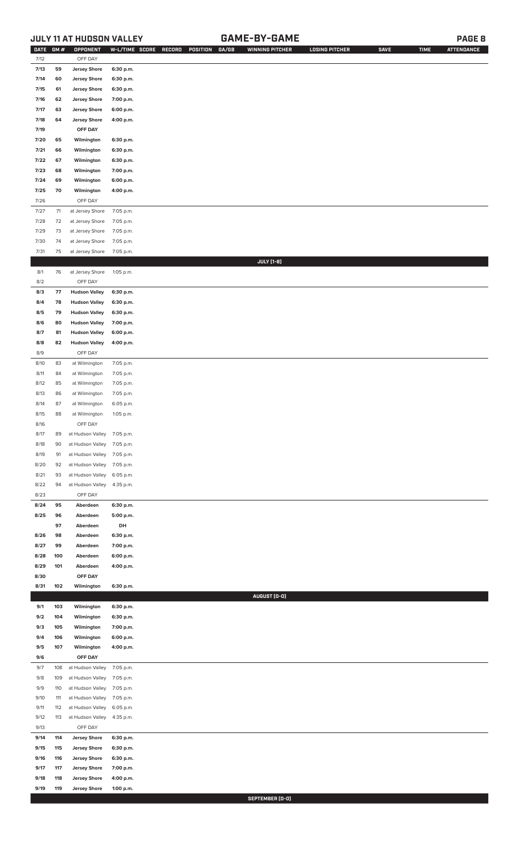## **JULY 11 AT HUDSON VALLEY GAME-BY-GAME PAGE 8**

| DATE GM # |      | OPPONENT                   | W-L/TIME SCORE | RECORD<br>POSITION<br>GA/GB | <b>WINNING PITCHER</b> | <b>LOSING PITCHER</b> | <b>SAVE</b> | <b>TIME</b> | <b>ATTENDANCE</b> |
|-----------|------|----------------------------|----------------|-----------------------------|------------------------|-----------------------|-------------|-------------|-------------------|
| 7/12      |      | OFF DAY                    |                |                             |                        |                       |             |             |                   |
| 7/13      | 59   | <b>Jersey Shore</b>        | 6:30 p.m.      |                             |                        |                       |             |             |                   |
| 7/14      | 60   | <b>Jersey Shore</b>        | 6:30 p.m.      |                             |                        |                       |             |             |                   |
| 7/15      | 61   | <b>Jersey Shore</b>        | 6:30 p.m.      |                             |                        |                       |             |             |                   |
| 7/16      | 62   | <b>Jersey Shore</b>        | 7:00 p.m.      |                             |                        |                       |             |             |                   |
| 7/17      | 63   | <b>Jersey Shore</b>        | 6:00 p.m.      |                             |                        |                       |             |             |                   |
| 7/18      | 64   | <b>Jersey Shore</b>        | 4:00 p.m.      |                             |                        |                       |             |             |                   |
| 7/19      |      | OFF DAY                    |                |                             |                        |                       |             |             |                   |
| 7/20      | 65   | Wilmington                 | 6:30 p.m.      |                             |                        |                       |             |             |                   |
| 7/21      | 66   | Wilmington                 | 6:30 p.m.      |                             |                        |                       |             |             |                   |
| 7/22      | 67   | Wilmington                 | 6:30 p.m.      |                             |                        |                       |             |             |                   |
| 7/23      | 68   | Wilmington                 | 7:00 p.m.      |                             |                        |                       |             |             |                   |
| 7/24      | 69   | Wilmington                 | 6:00 p.m.      |                             |                        |                       |             |             |                   |
| 7/25      | 70   | Wilmington                 | 4:00 p.m.      |                             |                        |                       |             |             |                   |
| 7/26      |      | OFF DAY                    |                |                             |                        |                       |             |             |                   |
| 7/27      | $71$ | at Jersey Shore            | 7:05 p.m.      |                             |                        |                       |             |             |                   |
| 7/28      | 72   | at Jersey Shore            | 7:05 p.m.      |                             |                        |                       |             |             |                   |
| 7/29      | 73   | at Jersey Shore            | 7:05 p.m.      |                             |                        |                       |             |             |                   |
| 7/30      | 74   | at Jersey Shore            | 7:05 p.m.      |                             |                        |                       |             |             |                   |
| 7/31      | 75   | at Jersey Shore            | 7:05 p.m.      |                             |                        |                       |             |             |                   |
|           |      |                            |                |                             | <b>JULY</b> [1-8]      |                       |             |             |                   |
| 8/1       | 76   | at Jersey Shore            | 1:05 p.m.      |                             |                        |                       |             |             |                   |
|           |      |                            |                |                             |                        |                       |             |             |                   |
| 8/2       |      | OFF DAY                    |                |                             |                        |                       |             |             |                   |
| 8/3       | 77   | <b>Hudson Valley</b>       | 6:30 p.m.      |                             |                        |                       |             |             |                   |
| 8/4       | 78   | <b>Hudson Valley</b>       | 6:30 p.m.      |                             |                        |                       |             |             |                   |
| 8/5       | 79   | <b>Hudson Valley</b>       | 6:30 p.m.      |                             |                        |                       |             |             |                   |
| 8/6       | 80   | <b>Hudson Valley</b>       | 7:00 p.m.      |                             |                        |                       |             |             |                   |
| 8/7       | 81   | <b>Hudson Valley</b>       | 6:00 p.m.      |                             |                        |                       |             |             |                   |
| 8/8       | 82   | <b>Hudson Valley</b>       | 4:00 p.m.      |                             |                        |                       |             |             |                   |
| 8/9       |      | OFF DAY                    |                |                             |                        |                       |             |             |                   |
| 8/10      | 83   | at Wilmington              | 7:05 p.m.      |                             |                        |                       |             |             |                   |
| 8/11      | 84   | at Wilmington              | 7:05 p.m.      |                             |                        |                       |             |             |                   |
| 8/12      | 85   | at Wilmington              | 7:05 p.m.      |                             |                        |                       |             |             |                   |
| 8/13      | 86   | at Wilmington              | 7:05 p.m.      |                             |                        |                       |             |             |                   |
| 8/14      | 87   | at Wilmington              | 6:05 p.m.      |                             |                        |                       |             |             |                   |
| 8/15      | 88   | at Wilmington              | 1:05 p.m.      |                             |                        |                       |             |             |                   |
| 8/16      |      | OFF DAY                    |                |                             |                        |                       |             |             |                   |
| 8/17      | 89   | at Hudson Valley 7:05 p.m. |                |                             |                        |                       |             |             |                   |
| 8/18      | 90   | at Hudson Valley           | 7:05 p.m.      |                             |                        |                       |             |             |                   |
| 8/19      | 91   | at Hudson Valley           | 7:05 p.m.      |                             |                        |                       |             |             |                   |
| 8/20      | 92   | at Hudson Valley           | 7:05 p.m.      |                             |                        |                       |             |             |                   |
| 8/21      | 93   | at Hudson Valley           | 6:05 p.m.      |                             |                        |                       |             |             |                   |
| 8/22      | 94   | at Hudson Valley           | 4:35 p.m.      |                             |                        |                       |             |             |                   |
| 8/23      |      | OFF DAY                    |                |                             |                        |                       |             |             |                   |
| 8/24      | 95   | Aberdeen                   | 6:30 p.m.      |                             |                        |                       |             |             |                   |
| 8/25      | 96   | Aberdeen                   | 5:00 p.m.      |                             |                        |                       |             |             |                   |
|           | 97   | Aberdeen                   | DH             |                             |                        |                       |             |             |                   |
| 8/26      | 98   | Aberdeen                   | 6:30 p.m.      |                             |                        |                       |             |             |                   |
| 8/27      | 99   | Aberdeen                   | 7:00 p.m.      |                             |                        |                       |             |             |                   |
| 8/28      | 100  | Aberdeen                   | 6:00 p.m.      |                             |                        |                       |             |             |                   |
| 8/29      | 101  | Aberdeen                   | 4:00 p.m.      |                             |                        |                       |             |             |                   |
| 8/30      |      | OFF DAY                    |                |                             |                        |                       |             |             |                   |
| 8/31      | 102  | Wilmington                 | 6:30 p.m.      |                             |                        |                       |             |             |                   |
|           |      |                            |                |                             | AUGUST (0-0)           |                       |             |             |                   |
| 9/1       | 103  | Wilmington                 | 6:30 p.m.      |                             |                        |                       |             |             |                   |
| 9/2       | 104  | Wilmington                 | 6:30 p.m.      |                             |                        |                       |             |             |                   |
| 9/3       | 105  | Wilmington                 | 7:00 p.m.      |                             |                        |                       |             |             |                   |
| 9/4       | 106  | Wilmington                 | 6:00 p.m.      |                             |                        |                       |             |             |                   |
| 9/5       | 107  |                            | 4:00 p.m.      |                             |                        |                       |             |             |                   |
| 9/6       |      | Wilmington<br>OFF DAY      |                |                             |                        |                       |             |             |                   |
| 9/7       | 108  |                            |                |                             |                        |                       |             |             |                   |
|           |      | at Hudson Valley           | 7:05 p.m.      |                             |                        |                       |             |             |                   |
| 9/8       | 109  | at Hudson Valley           | 7:05 p.m.      |                             |                        |                       |             |             |                   |
| 9/9       | 110  | at Hudson Valley           | 7:05 p.m.      |                             |                        |                       |             |             |                   |
| 9/10      | 111  | at Hudson Valley           | 7:05 p.m.      |                             |                        |                       |             |             |                   |
| 9/11      | 112  | at Hudson Valley           | 6:05 p.m.      |                             |                        |                       |             |             |                   |
| 9/12      | 113  | at Hudson Valley           | 4:35 p.m.      |                             |                        |                       |             |             |                   |
| 9/13      |      | OFF DAY                    |                |                             |                        |                       |             |             |                   |
| 9/14      | 114  | <b>Jersey Shore</b>        | 6:30 p.m.      |                             |                        |                       |             |             |                   |
| 9/15      | 115  | <b>Jersey Shore</b>        | 6:30 p.m.      |                             |                        |                       |             |             |                   |
| 9/16      | 116  | <b>Jersey Shore</b>        | 6:30 p.m.      |                             |                        |                       |             |             |                   |
| 9/17      | 117  | <b>Jersey Shore</b>        | 7:00 p.m.      |                             |                        |                       |             |             |                   |
| 9/18      | 118  | <b>Jersey Shore</b>        | 4:00 p.m.      |                             |                        |                       |             |             |                   |
| 9/19      | 119  | <b>Jersey Shore</b>        | 1:00 p.m.      |                             |                        |                       |             |             |                   |

**SEPTEMBER (0-0)**